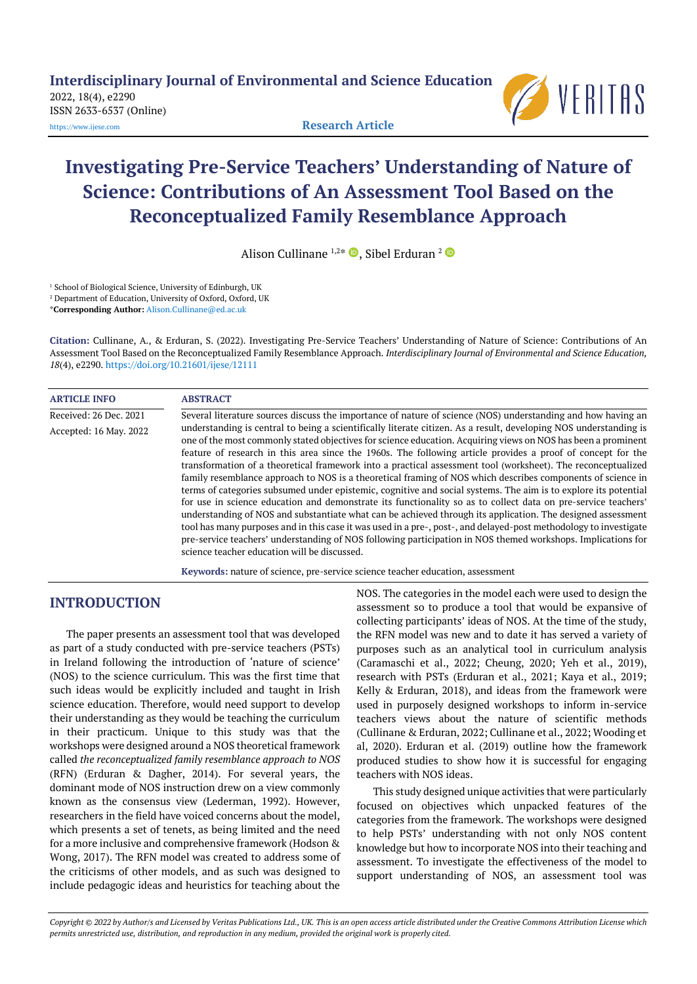**Interdisciplinary Journal of Environmental and Science Education**

2022, 18(4), e2290 ISSN 2633-6537 (Online)



[https://www.ijese.com](https://www.ijese.com/) **Research Article**

# **Investigating Pre-Service Teachers' Understanding of Nature of Science: Contributions of An Assessment Tool Based on the Reconceptualized Family Resemblance Approach**

Alison Cullinane 1,2\*  $\bm{\mathbb{D}},$  Sibel Erduran <sup>2</sup>

<sup>1</sup> School of Biological Science, University of Edinburgh, UK

<sup>2</sup> Department of Education, University of Oxford, Oxford, UK

\***Corresponding Author:** [Alison.Cullinane@ed.ac.uk](mailto:Alison.Cullinane@ed.ac.uk)

**Citation:** Cullinane, A., & Erduran, S. (2022). Investigating Pre-Service Teachers' Understanding of Nature of Science: Contributions of An Assessment Tool Based on the Reconceptualized Family Resemblance Approach. *Interdisciplinary Journal of Environmental and Science Education, 18*(4), e2290. <https://doi.org/10.21601/ijese/12111>

| <b>ARTICLE INFO</b>    | <b>ABSTRACT</b>                                                                                                                                                                                                                                                                                                                                                                                                                                                                                                                                                                                                                                                                                                                                                                                                                                                                                                                                                                                                                                                                                                                                                                                                          |
|------------------------|--------------------------------------------------------------------------------------------------------------------------------------------------------------------------------------------------------------------------------------------------------------------------------------------------------------------------------------------------------------------------------------------------------------------------------------------------------------------------------------------------------------------------------------------------------------------------------------------------------------------------------------------------------------------------------------------------------------------------------------------------------------------------------------------------------------------------------------------------------------------------------------------------------------------------------------------------------------------------------------------------------------------------------------------------------------------------------------------------------------------------------------------------------------------------------------------------------------------------|
| Received: 26 Dec. 2021 | Several literature sources discuss the importance of nature of science (NOS) understanding and how having an                                                                                                                                                                                                                                                                                                                                                                                                                                                                                                                                                                                                                                                                                                                                                                                                                                                                                                                                                                                                                                                                                                             |
| Accepted: 16 May. 2022 | understanding is central to being a scientifically literate citizen. As a result, developing NOS understanding is<br>one of the most commonly stated objectives for science education. Acquiring views on NOS has been a prominent<br>feature of research in this area since the 1960s. The following article provides a proof of concept for the<br>transformation of a theoretical framework into a practical assessment tool (worksheet). The reconceptualized<br>family resemblance approach to NOS is a theoretical framing of NOS which describes components of science in<br>terms of categories subsumed under epistemic, cognitive and social systems. The aim is to explore its potential<br>for use in science education and demonstrate its functionality so as to collect data on pre-service teachers'<br>understanding of NOS and substantiate what can be achieved through its application. The designed assessment<br>tool has many purposes and in this case it was used in a pre-, post-, and delayed-post methodology to investigate<br>pre-service teachers' understanding of NOS following participation in NOS themed workshops. Implications for<br>science teacher education will be discussed. |

**Keywords:** nature of science, pre-service science teacher education, assessment

### **INTRODUCTION**

The paper presents an assessment tool that was developed as part of a study conducted with pre-service teachers (PSTs) in Ireland following the introduction of 'nature of science' (NOS) to the science curriculum. This was the first time that such ideas would be explicitly included and taught in Irish science education. Therefore, would need support to develop their understanding as they would be teaching the curriculum in their practicum. Unique to this study was that the workshops were designed around a NOS theoretical framework called *the reconceptualized family resemblance approach to NOS* (RFN) (Erduran & Dagher, 2014). For several years, the dominant mode of NOS instruction drew on a view commonly known as the consensus view (Lederman, 1992). However, researchers in the field have voiced concerns about the model, which presents a set of tenets, as being limited and the need for a more inclusive and comprehensive framework (Hodson & Wong, 2017). The RFN model was created to address some of the criticisms of other models, and as such was designed to include pedagogic ideas and heuristics for teaching about the NOS. The categories in the model each were used to design the assessment so to produce a tool that would be expansive of collecting participants' ideas of NOS. At the time of the study, the RFN model was new and to date it has served a variety of purposes such as an analytical tool in curriculum analysis (Caramaschi et al., 2022; Cheung, 2020; Yeh et al., 2019), research with PSTs (Erduran et al., 2021; Kaya et al., 2019; Kelly & Erduran, 2018), and ideas from the framework were used in purposely designed workshops to inform in-service teachers views about the nature of scientific methods (Cullinane & Erduran, 2022; Cullinane et al., 2022; Wooding et al, 2020). Erduran et al. (2019) outline how the framework produced studies to show how it is successful for engaging teachers with NOS ideas.

This study designed unique activities that were particularly focused on objectives which unpacked features of the categories from the framework. The workshops were designed to help PSTs' understanding with not only NOS content knowledge but how to incorporate NOS into their teaching and assessment. To investigate the effectiveness of the model to support understanding of NOS, an assessment tool was

Copyright @ 2022 by Author/s and Licensed by Veritas Publications Ltd., UK. This is an open access article distributed under the Creative Commons Attribution License which permits unrestricted use, distribution, and reproduction in any medium, provided the original work is properly cited.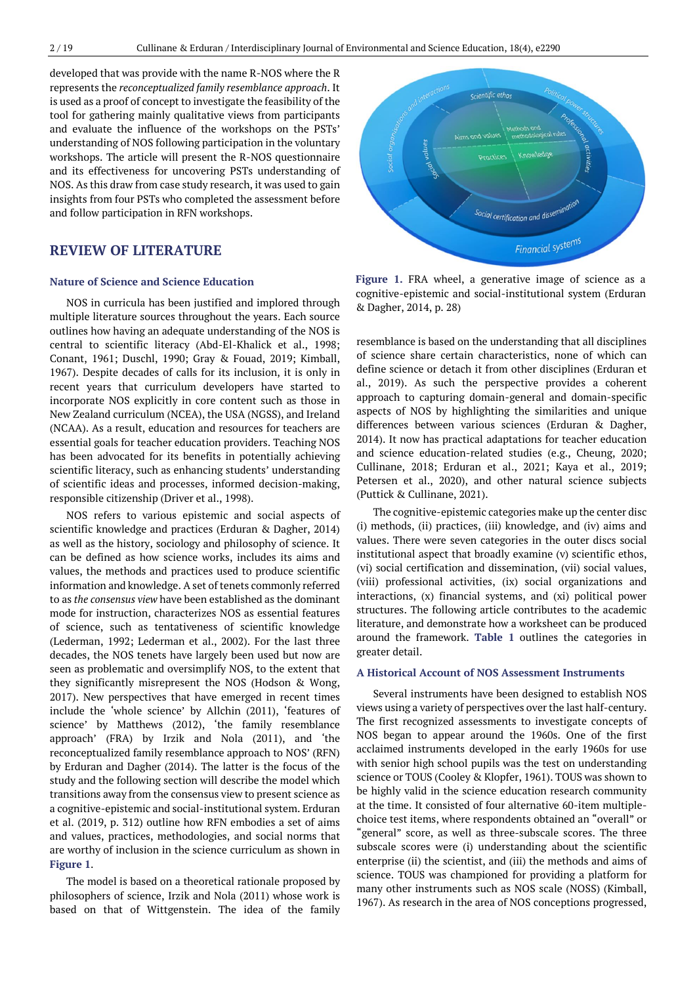developed that was provide with the name R-NOS where the R represents the *reconceptualized family resemblance approach*. It is used as a proof of concept to investigate the feasibility of the tool for gathering mainly qualitative views from participants and evaluate the influence of the workshops on the PSTs' understanding of NOS following participation in the voluntary workshops. The article will present the R-NOS questionnaire and its effectiveness for uncovering PSTs understanding of NOS. As this draw from case study research, it was used to gain insights from four PSTs who completed the assessment before and follow participation in RFN workshops.

### **REVIEW OF LITERATURE**

#### **Nature of Science and Science Education**

NOS in curricula has been justified and implored through multiple literature sources throughout the years. Each source outlines how having an adequate understanding of the NOS is central to scientific literacy (Abd-El-Khalick et al., 1998; Conant, 1961; Duschl, 1990; Gray & Fouad, 2019; Kimball, 1967). Despite decades of calls for its inclusion, it is only in recent years that curriculum developers have started to incorporate NOS explicitly in core content such as those in New Zealand curriculum (NCEA), the USA (NGSS), and Ireland (NCAA). As a result, education and resources for teachers are essential goals for teacher education providers. Teaching NOS has been advocated for its benefits in potentially achieving scientific literacy, such as enhancing students' understanding of scientific ideas and processes, informed decision-making, responsible citizenship (Driver et al., 1998).

NOS refers to various epistemic and social aspects of scientific knowledge and practices (Erduran & Dagher, 2014) as well as the history, sociology and philosophy of science. It can be defined as how science works, includes its aims and values, the methods and practices used to produce scientific information and knowledge. A set of tenets commonly referred to as *the consensus view* have been established as the dominant mode for instruction, characterizes NOS as essential features of science, such as tentativeness of scientific knowledge (Lederman, 1992; Lederman et al., 2002). For the last three decades, the NOS tenets have largely been used but now are seen as problematic and oversimplify NOS, to the extent that they significantly misrepresent the NOS (Hodson & Wong, 2017). New perspectives that have emerged in recent times include the 'whole science' by Allchin (2011), 'features of science' by Matthews (2012), 'the family resemblance approach' (FRA) by Irzik and Nola (2011), and 'the reconceptualized family resemblance approach to NOS' (RFN) by Erduran and Dagher (2014). The latter is the focus of the study and the following section will describe the model which transitions away from the consensus view to present science as a cognitive-epistemic and social-institutional system. Erduran et al. (2019, p. 312) outline how RFN embodies a set of aims and values, practices, methodologies, and social norms that are worthy of inclusion in the science curriculum as shown in **Figure 1**.

The model is based on a theoretical rationale proposed by philosophers of science, Irzik and Nola (2011) whose work is based on that of Wittgenstein. The idea of the family



**Figure 1.** FRA wheel, a generative image of science as a cognitive-epistemic and social-institutional system (Erduran & Dagher, 2014, p. 28)

resemblance is based on the understanding that all disciplines of science share certain characteristics, none of which can define science or detach it from other disciplines (Erduran et al., 2019). As such the perspective provides a coherent approach to capturing domain-general and domain-specific aspects of NOS by highlighting the similarities and unique differences between various sciences (Erduran & Dagher, 2014). It now has practical adaptations for teacher education and science education-related studies (e.g., Cheung, 2020; Cullinane, 2018; Erduran et al., 2021; Kaya et al., 2019; Petersen et al., 2020), and other natural science subjects (Puttick & Cullinane, 2021).

The cognitive-epistemic categories make up the center disc (i) methods, (ii) practices, (iii) knowledge, and (iv) aims and values. There were seven categories in the outer discs social institutional aspect that broadly examine (v) scientific ethos, (vi) social certification and dissemination, (vii) social values, (viii) professional activities, (ix) social organizations and interactions, (x) financial systems, and (xi) political power structures. The following article contributes to the academic literature, and demonstrate how a worksheet can be produced around the framework. **Table 1** outlines the categories in greater detail.

#### **A Historical Account of NOS Assessment Instruments**

Several instruments have been designed to establish NOS views using a variety of perspectives overthe last half-century. The first recognized assessments to investigate concepts of NOS began to appear around the 1960s. One of the first acclaimed instruments developed in the early 1960s for use with senior high school pupils was the test on understanding science or TOUS (Cooley & Klopfer, 1961). TOUS was shown to be highly valid in the science education research community at the time. It consisted of four alternative 60-item multiplechoice test items, where respondents obtained an "overall" or "general" score, as well as three-subscale scores. The three subscale scores were (i) understanding about the scientific enterprise (ii) the scientist, and (iii) the methods and aims of science. TOUS was championed for providing a platform for many other instruments such as NOS scale (NOSS) (Kimball, 1967). As research in the area of NOS conceptions progressed,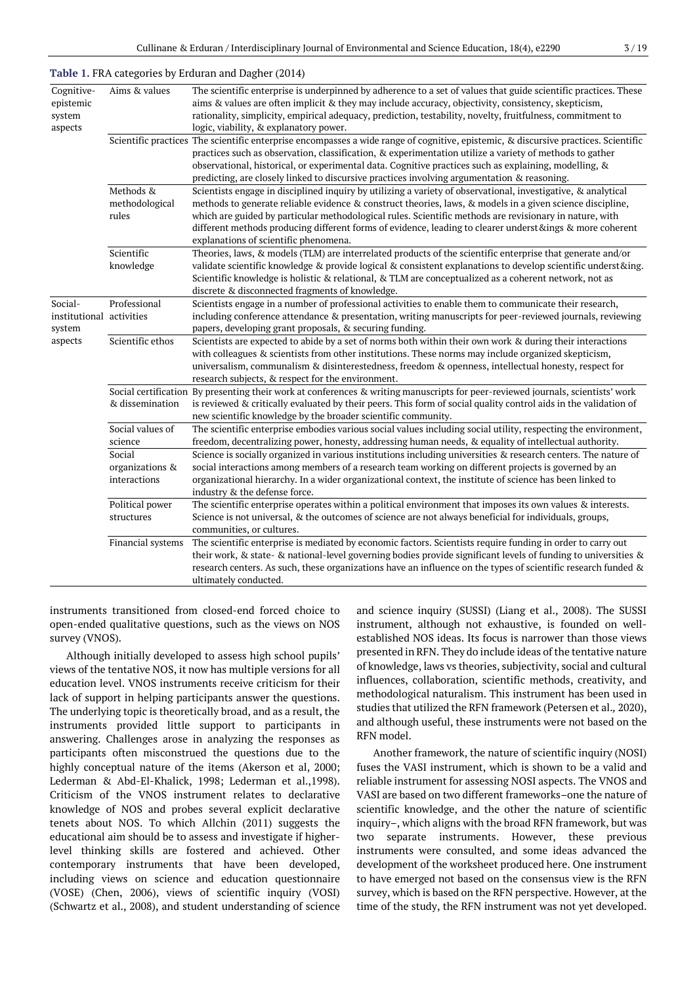| Cognitive-<br>epistemic<br>system<br>aspects  | Aims & values                             | The scientific enterprise is underpinned by adherence to a set of values that guide scientific practices. These<br>aims & values are often implicit & they may include accuracy, objectivity, consistency, skepticism,<br>rationality, simplicity, empirical adequacy, prediction, testability, novelty, fruitfulness, commitment to<br>logic, viability, & explanatory power.                                                                                                              |
|-----------------------------------------------|-------------------------------------------|---------------------------------------------------------------------------------------------------------------------------------------------------------------------------------------------------------------------------------------------------------------------------------------------------------------------------------------------------------------------------------------------------------------------------------------------------------------------------------------------|
|                                               |                                           | Scientific practices The scientific enterprise encompasses a wide range of cognitive, epistemic, & discursive practices. Scientific<br>practices such as observation, classification, & experimentation utilize a variety of methods to gather<br>observational, historical, or experimental data. Cognitive practices such as explaining, modelling, &<br>predicting, are closely linked to discursive practices involving argumentation & reasoning.                                      |
|                                               | Methods &<br>methodological<br>rules      | Scientists engage in disciplined inquiry by utilizing a variety of observational, investigative, & analytical<br>methods to generate reliable evidence & construct theories, laws, & models in a given science discipline,<br>which are guided by particular methodological rules. Scientific methods are revisionary in nature, with<br>different methods producing different forms of evidence, leading to clearer underst &ings & more coherent<br>explanations of scientific phenomena. |
|                                               | Scientific<br>knowledge                   | Theories, laws, & models (TLM) are interrelated products of the scientific enterprise that generate and/or<br>validate scientific knowledge & provide logical & consistent explanations to develop scientific underst&ing.<br>Scientific knowledge is holistic & relational, & TLM are conceptualized as a coherent network, not as<br>discrete & disconnected fragments of knowledge.                                                                                                      |
| Social-<br>institutional activities<br>system | Professional                              | Scientists engage in a number of professional activities to enable them to communicate their research,<br>including conference attendance & presentation, writing manuscripts for peer-reviewed journals, reviewing<br>papers, developing grant proposals, & securing funding.                                                                                                                                                                                                              |
| aspects                                       | Scientific ethos                          | Scientists are expected to abide by a set of norms both within their own work & during their interactions<br>with colleagues & scientists from other institutions. These norms may include organized skepticism,<br>universalism, communalism & disinterestedness, freedom & openness, intellectual honesty, respect for<br>research subjects, & respect for the environment.                                                                                                               |
|                                               | & dissemination                           | Social certification By presenting their work at conferences & writing manuscripts for peer-reviewed journals, scientists' work<br>is reviewed & critically evaluated by their peers. This form of social quality control aids in the validation of<br>new scientific knowledge by the broader scientific community.                                                                                                                                                                        |
|                                               | Social values of<br>science               | The scientific enterprise embodies various social values including social utility, respecting the environment,<br>freedom, decentralizing power, honesty, addressing human needs, & equality of intellectual authority.                                                                                                                                                                                                                                                                     |
|                                               | Social<br>organizations &<br>interactions | Science is socially organized in various institutions including universities & research centers. The nature of<br>social interactions among members of a research team working on different projects is governed by an<br>organizational hierarchy. In a wider organizational context, the institute of science has been linked to<br>industry & the defense force.                                                                                                                         |
|                                               | Political power<br>structures             | The scientific enterprise operates within a political environment that imposes its own values & interests.<br>Science is not universal, & the outcomes of science are not always beneficial for individuals, groups,<br>communities, or cultures.                                                                                                                                                                                                                                           |
|                                               | Financial systems                         | The scientific enterprise is mediated by economic factors. Scientists require funding in order to carry out<br>their work, & state- & national-level governing bodies provide significant levels of funding to universities &<br>research centers. As such, these organizations have an influence on the types of scientific research funded &<br>ultimately conducted.                                                                                                                     |

#### **Table 1.** FRA categories by Erduran and Dagher (2014)

instruments transitioned from closed-end forced choice to open-ended qualitative questions, such as the views on NOS survey (VNOS).

Although initially developed to assess high school pupils' views of the tentative NOS, it now has multiple versions for all education level. VNOS instruments receive criticism for their lack of support in helping participants answer the questions. The underlying topic is theoretically broad, and as a result, the instruments provided little support to participants in answering. Challenges arose in analyzing the responses as participants often misconstrued the questions due to the highly conceptual nature of the items (Akerson et al, 2000; Lederman & Abd-El-Khalick, 1998; Lederman et al.,1998). Criticism of the VNOS instrument relates to declarative knowledge of NOS and probes several explicit declarative tenets about NOS. To which Allchin (2011) suggests the educational aim should be to assess and investigate if higherlevel thinking skills are fostered and achieved. Other contemporary instruments that have been developed, including views on science and education questionnaire (VOSE) (Chen, 2006), views of scientific inquiry (VOSI) (Schwartz et al., 2008), and student understanding of science and science inquiry (SUSSI) (Liang et al., 2008). The SUSSI instrument, although not exhaustive, is founded on wellestablished NOS ideas. Its focus is narrower than those views presented in RFN. They do include ideas of the tentative nature of knowledge, laws vs theories, subjectivity, social and cultural influences, collaboration, scientific methods, creativity, and methodological naturalism. This instrument has been used in studies that utilized the RFN framework (Petersen et al.*,* 2020), and although useful, these instruments were not based on the RFN model.

Another framework, the nature of scientific inquiry (NOSI) fuses the VASI instrument, which is shown to be a valid and reliable instrument for assessing NOSI aspects. The VNOS and VASI are based on two different frameworks–one the nature of scientific knowledge, and the other the nature of scientific inquiry–, which aligns with the broad RFN framework, but was two separate instruments. However, these previous instruments were consulted, and some ideas advanced the development of the worksheet produced here. One instrument to have emerged not based on the consensus view is the RFN survey, which is based on the RFN perspective. However, at the time of the study, the RFN instrument was not yet developed.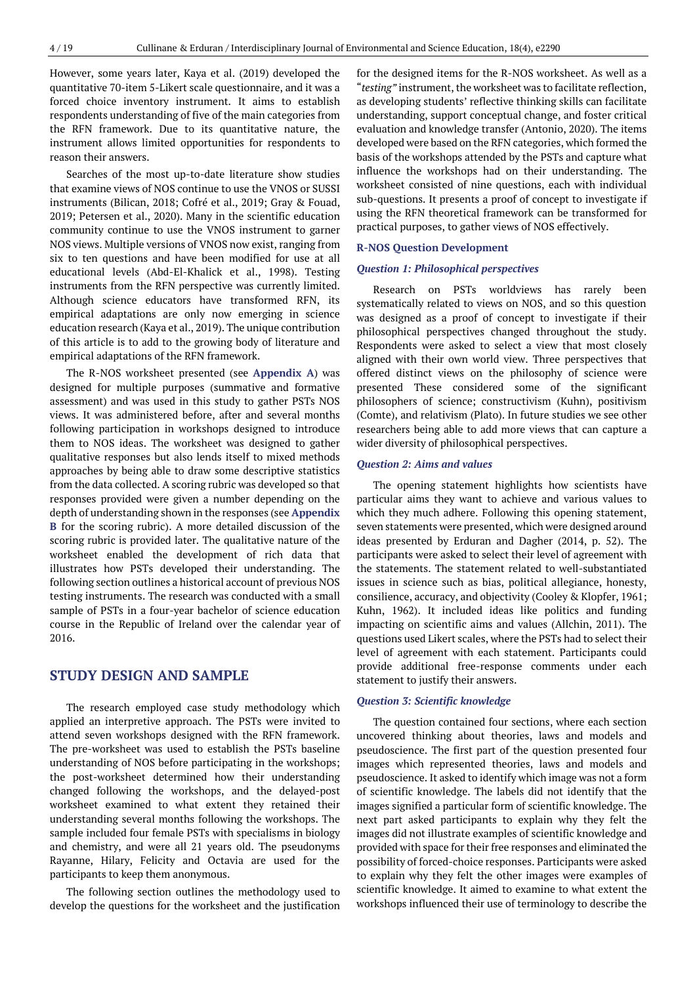However, some years later, Kaya et al. (2019) developed the quantitative 70-item 5-Likert scale questionnaire, and it was a forced choice inventory instrument. It aims to establish respondents understanding of five of the main categories from the RFN framework. Due to its quantitative nature, the instrument allows limited opportunities for respondents to reason their answers.

Searches of the most up-to-date literature show studies that examine views of NOS continue to use the VNOS or SUSSI instruments (Bilican, 2018; Cofré et al., 2019; Gray & Fouad, 2019; Petersen et al., 2020). Many in the scientific education community continue to use the VNOS instrument to garner NOS views. Multiple versions of VNOS now exist, ranging from six to ten questions and have been modified for use at all educational levels (Abd-El-Khalick et al., 1998). Testing instruments from the RFN perspective was currently limited. Although science educators have transformed RFN, its empirical adaptations are only now emerging in science education research (Kaya et al., 2019). The unique contribution of this article is to add to the growing body of literature and empirical adaptations of the RFN framework.

The R-NOS worksheet presented (see **Appendix A**) was designed for multiple purposes (summative and formative assessment) and was used in this study to gather PSTs NOS views. It was administered before, after and several months following participation in workshops designed to introduce them to NOS ideas. The worksheet was designed to gather qualitative responses but also lends itself to mixed methods approaches by being able to draw some descriptive statistics from the data collected. A scoring rubric was developed so that responses provided were given a number depending on the depth of understanding shown in the responses (see **Appendix B** for the scoring rubric). A more detailed discussion of the scoring rubric is provided later. The qualitative nature of the worksheet enabled the development of rich data that illustrates how PSTs developed their understanding. The following section outlines a historical account of previous NOS testing instruments. The research was conducted with a small sample of PSTs in a four-year bachelor of science education course in the Republic of Ireland over the calendar year of 2016.

### **STUDY DESIGN AND SAMPLE**

The research employed case study methodology which applied an interpretive approach. The PSTs were invited to attend seven workshops designed with the RFN framework. The pre-worksheet was used to establish the PSTs baseline understanding of NOS before participating in the workshops; the post-worksheet determined how their understanding changed following the workshops, and the delayed-post worksheet examined to what extent they retained their understanding several months following the workshops. The sample included four female PSTs with specialisms in biology and chemistry, and were all 21 years old. The pseudonyms Rayanne, Hilary, Felicity and Octavia are used for the participants to keep them anonymous.

The following section outlines the methodology used to develop the questions for the worksheet and the justification

for the designed items for the R-NOS worksheet. As well as a "*testing"* instrument, the worksheet was to facilitate reflection, as developing students' reflective thinking skills can facilitate understanding, support conceptual change, and foster critical evaluation and knowledge transfer (Antonio, 2020). The items developed were based on the RFN categories, which formed the basis of the workshops attended by the PSTs and capture what influence the workshops had on their understanding. The worksheet consisted of nine questions, each with individual sub-questions. It presents a proof of concept to investigate if using the RFN theoretical framework can be transformed for practical purposes, to gather views of NOS effectively.

#### **R-NOS Question Development**

#### *Question 1: Philosophical perspectives*

Research on PSTs worldviews has rarely been systematically related to views on NOS, and so this question was designed as a proof of concept to investigate if their philosophical perspectives changed throughout the study. Respondents were asked to select a view that most closely aligned with their own world view. Three perspectives that offered distinct views on the philosophy of science were presented These considered some of the significant philosophers of science; constructivism (Kuhn), positivism (Comte), and relativism (Plato). In future studies we see other researchers being able to add more views that can capture a wider diversity of philosophical perspectives.

#### *Question 2: Aims and values*

The opening statement highlights how scientists have particular aims they want to achieve and various values to which they much adhere. Following this opening statement, seven statements were presented, which were designed around ideas presented by Erduran and Dagher (2014, p. 52). The participants were asked to select their level of agreement with the statements. The statement related to well-substantiated issues in science such as bias, political allegiance, honesty, consilience, accuracy, and objectivity (Cooley & Klopfer, 1961; Kuhn, 1962). It included ideas like politics and funding impacting on scientific aims and values (Allchin, 2011). The questions used Likert scales, where the PSTs had to select their level of agreement with each statement. Participants could provide additional free-response comments under each statement to justify their answers.

#### *Question 3: Scientific knowledge*

The question contained four sections, where each section uncovered thinking about theories, laws and models and pseudoscience. The first part of the question presented four images which represented theories, laws and models and pseudoscience. It asked to identify which image was not a form of scientific knowledge. The labels did not identify that the images signified a particular form of scientific knowledge. The next part asked participants to explain why they felt the images did not illustrate examples of scientific knowledge and provided with space for their free responses and eliminated the possibility of forced-choice responses. Participants were asked to explain why they felt the other images were examples of scientific knowledge. It aimed to examine to what extent the workshops influenced their use of terminology to describe the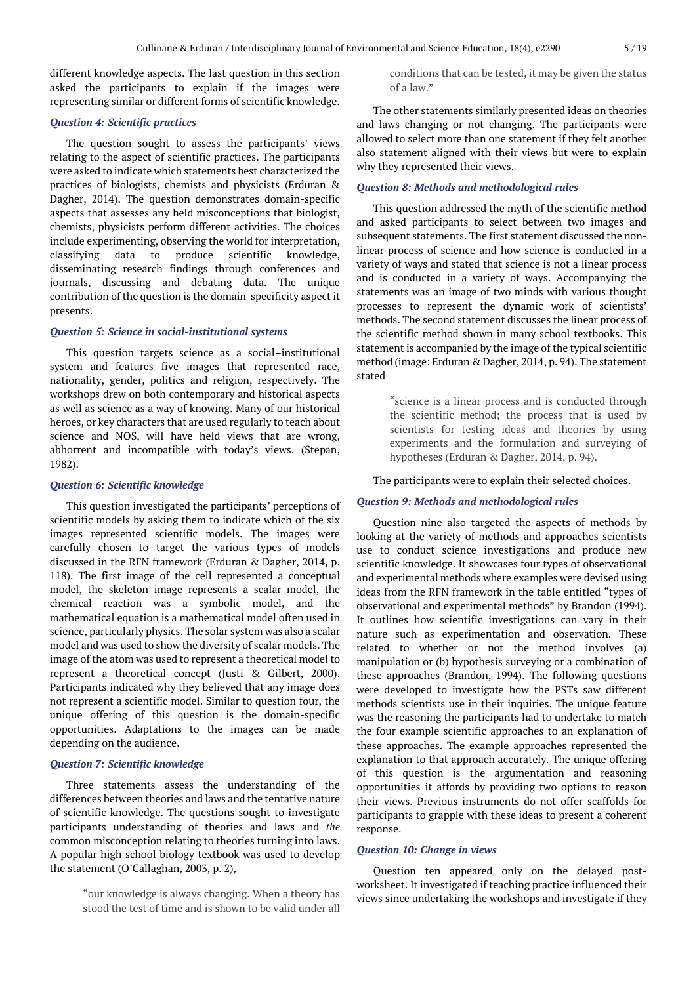different knowledge aspects. The last question in this section asked the participants to explain if the images were representing similar or different forms of scientific knowledge.

#### *Question 4: Scientific practices*

The question sought to assess the participants' views relating to the aspect of scientific practices. The participants were asked to indicate which statements best characterized the practices of biologists, chemists and physicists (Erduran & Dagher, 2014). The question demonstrates domain-specific aspects that assesses any held misconceptions that biologist, chemists, physicists perform different activities. The choices include experimenting, observing the world for interpretation, classifying data to produce scientific knowledge, disseminating research findings through conferences and journals, discussing and debating data. The unique contribution of the question is the domain-specificity aspect it presents.

#### *Question 5: Science in social-institutional systems*

This question targets science as a social–institutional system and features five images that represented race, nationality, gender, politics and religion, respectively. The workshops drew on both contemporary and historical aspects as well as science as a way of knowing. Many of our historical heroes, or key characters that are used regularly to teach about science and NOS, will have held views that are wrong, abhorrent and incompatible with today's views. (Stepan, 1982).

#### *Question 6: Scientific knowledge*

This question investigated the participants' perceptions of scientific models by asking them to indicate which of the six images represented scientific models. The images were carefully chosen to target the various types of models discussed in the RFN framework (Erduran & Dagher, 2014, p. 118). The first image of the cell represented a conceptual model, the skeleton image represents a scalar model, the chemical reaction was a symbolic model, and the mathematical equation is a mathematical model often used in science, particularly physics. The solar system was also a scalar model and was used to show the diversity of scalar models. The image of the atom was used to represent a theoretical model to represent a theoretical concept (Justi & Gilbert, 2000). Participants indicated why they believed that any image does not represent a scientific model. Similar to question four, the unique offering of this question is the domain-specific opportunities. Adaptations to the images can be made depending on the audience**.**

#### *Question 7: Scientific knowledge*

Three statements assess the understanding of the differences between theories and laws and the tentative nature of scientific knowledge. The questions sought to investigate participants understanding of theories and laws and *the* common misconception relating to theories turning into laws. A popular high school biology textbook was used to develop the statement (O'Callaghan, 2003, p. 2),

> "our knowledge is always changing. When a theory has stood the test of time and is shown to be valid under all

conditions that can be tested, it may be given the status of a law."

The other statements similarly presented ideas on theories and laws changing or not changing. The participants were allowed to select more than one statement if they felt another also statement aligned with their views but were to explain why they represented their views.

#### *Question 8: Methods and methodological rules*

This question addressed the myth of the scientific method and asked participants to select between two images and subsequent statements. The first statement discussed the nonlinear process of science and how science is conducted in a variety of ways and stated that science is not a linear process and is conducted in a variety of ways. Accompanying the statements was an image of two minds with various thought processes to represent the dynamic work of scientists' methods. The second statement discusses the linear process of the scientific method shown in many school textbooks. This statement is accompanied by the image of the typical scientific method (image: Erduran & Dagher, 2014, p. 94). The statement stated

> "science is a linear process and is conducted through the scientific method; the process that is used by scientists for testing ideas and theories by using experiments and the formulation and surveying of hypotheses (Erduran & Dagher, 2014, p. 94).

#### The participants were to explain their selected choices.

#### *Question 9: Methods and methodological rules*

Question nine also targeted the aspects of methods by looking at the variety of methods and approaches scientists use to conduct science investigations and produce new scientific knowledge. It showcases four types of observational and experimental methods where examples were devised using ideas from the RFN framework in the table entitled "types of observational and experimental methods" by Brandon (1994). It outlines how scientific investigations can vary in their nature such as experimentation and observation. These related to whether or not the method involves (a) manipulation or (b) hypothesis surveying or a combination of these approaches (Brandon, 1994). The following questions were developed to investigate how the PSTs saw different methods scientists use in their inquiries. The unique feature was the reasoning the participants had to undertake to match the four example scientific approaches to an explanation of these approaches. The example approaches represented the explanation to that approach accurately. The unique offering of this question is the argumentation and reasoning opportunities it affords by providing two options to reason their views. Previous instruments do not offer scaffolds for participants to grapple with these ideas to present a coherent response.

#### *Question 10: Change in views*

Question ten appeared only on the delayed postworksheet. It investigated if teaching practice influenced their views since undertaking the workshops and investigate if they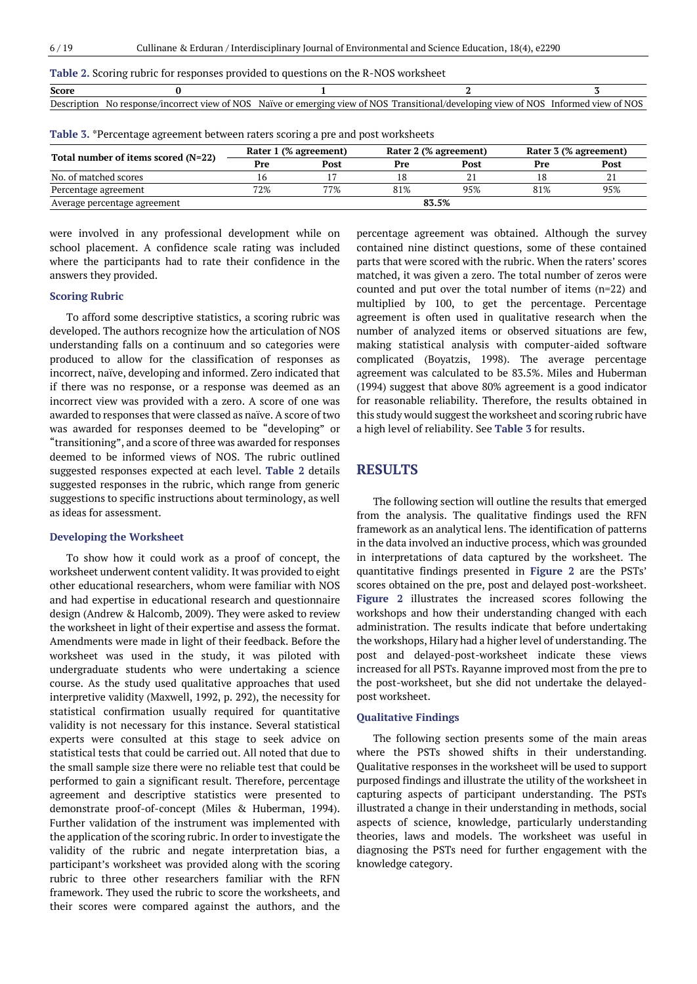| Score       |                                                |                                     |                                        |                         |
|-------------|------------------------------------------------|-------------------------------------|----------------------------------------|-------------------------|
| Description | t view of NOS<br>/incorrect<br>response.<br>Nr | r emerging view of NOS-<br>Naïve or | . Transitional/develoning view of NOS- | view of NOS<br>Informed |
|             |                                                |                                     |                                        |                         |

**Table 3.** \*Percentage agreement between raters scoring a pre and post worksheets

| Total number of items scored (N=22) |     | Rater 1 (% agreement) |     | Rater 2 (% agreement) | Rater 3 (% agreement) |      |  |
|-------------------------------------|-----|-----------------------|-----|-----------------------|-----------------------|------|--|
|                                     | Pre | Post                  | Pre | Post                  | Pre                   | Post |  |
| No. of matched scores               |     |                       | 18  |                       |                       | ΔI   |  |
| Percentage agreement                | 72% | 77%                   | 81% | 95%                   | 81%                   | 95%  |  |
| Average percentage agreement        |     |                       |     | 83.5%                 |                       |      |  |

were involved in any professional development while on school placement. A confidence scale rating was included where the participants had to rate their confidence in the answers they provided.

#### **Scoring Rubric**

To afford some descriptive statistics, a scoring rubric was developed. The authors recognize how the articulation of NOS understanding falls on a continuum and so categories were produced to allow for the classification of responses as incorrect, naïve, developing and informed. Zero indicated that if there was no response, or a response was deemed as an incorrect view was provided with a zero. A score of one was awarded to responses that were classed as naïve. A score of two was awarded for responses deemed to be "developing" or "transitioning", and a score ofthree was awarded forresponses deemed to be informed views of NOS. The rubric outlined suggested responses expected at each level. **Table 2** details suggested responses in the rubric, which range from generic suggestions to specific instructions about terminology, as well as ideas for assessment.

#### **Developing the Worksheet**

To show how it could work as a proof of concept, the worksheet underwent content validity. It was provided to eight other educational researchers, whom were familiar with NOS and had expertise in educational research and questionnaire design (Andrew & Halcomb, 2009). They were asked to review the worksheet in light of their expertise and assess the format. Amendments were made in light of their feedback. Before the worksheet was used in the study, it was piloted with undergraduate students who were undertaking a science course. As the study used qualitative approaches that used interpretive validity (Maxwell, 1992, p. 292), the necessity for statistical confirmation usually required for quantitative validity is not necessary for this instance. Several statistical experts were consulted at this stage to seek advice on statistical tests that could be carried out. All noted that due to the small sample size there were no reliable test that could be performed to gain a significant result. Therefore, percentage agreement and descriptive statistics were presented to demonstrate proof-of-concept (Miles & Huberman, 1994). Further validation of the instrument was implemented with the application of the scoring rubric. In order to investigate the validity of the rubric and negate interpretation bias, a participant's worksheet was provided along with the scoring rubric to three other researchers familiar with the RFN framework. They used the rubric to score the worksheets, and their scores were compared against the authors, and the percentage agreement was obtained. Although the survey contained nine distinct questions, some of these contained parts that were scored with the rubric. When the raters' scores matched, it was given a zero. The total number of zeros were counted and put over the total number of items (n=22) and multiplied by 100, to get the percentage. Percentage agreement is often used in qualitative research when the number of analyzed items or observed situations are few, making statistical analysis with computer-aided software complicated (Boyatzis, 1998). The average percentage agreement was calculated to be 83.5%. Miles and Huberman (1994) suggest that above 80% agreement is a good indicator for reasonable reliability. Therefore, the results obtained in this study would suggest the worksheet and scoring rubric have a high level of reliability. See **Table 3** for results.

### **RESULTS**

The following section will outline the results that emerged from the analysis. The qualitative findings used the RFN framework as an analytical lens. The identification of patterns in the data involved an inductive process, which was grounded in interpretations of data captured by the worksheet. The quantitative findings presented in **Figure 2** are the PSTs' scores obtained on the pre, post and delayed post-worksheet. **Figure 2** illustrates the increased scores following the workshops and how their understanding changed with each administration. The results indicate that before undertaking the workshops, Hilary had a higher level of understanding. The post and delayed-post-worksheet indicate these views increased for all PSTs. Rayanne improved most from the pre to the post-worksheet, but she did not undertake the delayedpost worksheet.

#### **Qualitative Findings**

The following section presents some of the main areas where the PSTs showed shifts in their understanding. Qualitative responses in the worksheet will be used to support purposed findings and illustrate the utility of the worksheet in capturing aspects of participant understanding. The PSTs illustrated a change in their understanding in methods, social aspects of science, knowledge, particularly understanding theories, laws and models. The worksheet was useful in diagnosing the PSTs need for further engagement with the knowledge category.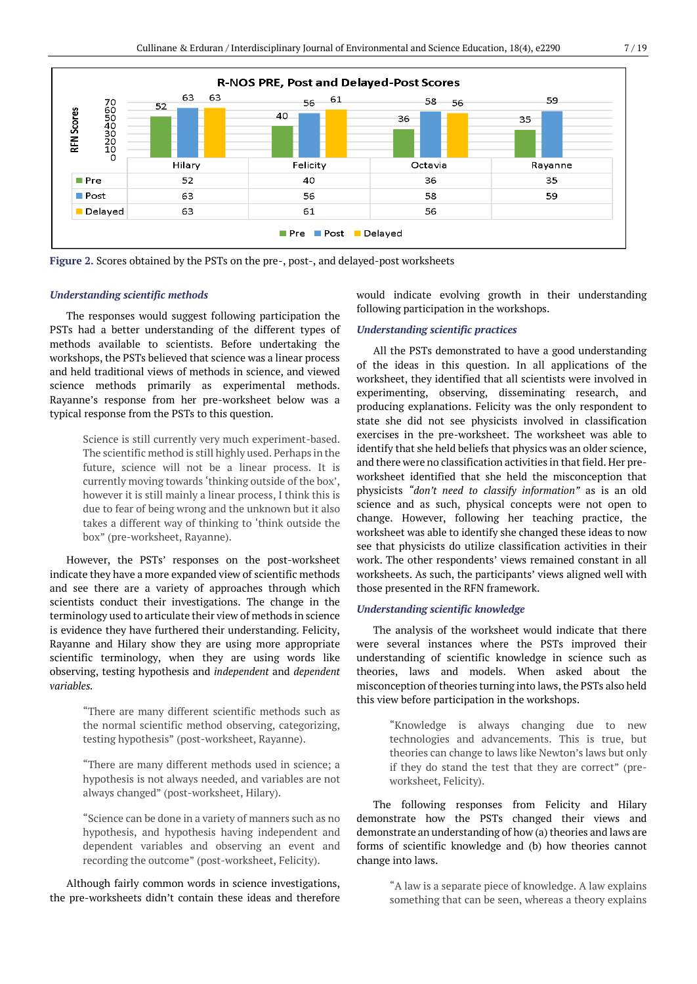

**Figure 2.** Scores obtained by the PSTs on the pre-, post-, and delayed-post worksheets

#### *Understanding scientific methods*

The responses would suggest following participation the PSTs had a better understanding of the different types of methods available to scientists. Before undertaking the workshops, the PSTs believed that science was a linear process and held traditional views of methods in science, and viewed science methods primarily as experimental methods. Rayanne's response from her pre-worksheet below was a typical response from the PSTs to this question.

> Science is still currently very much experiment-based. The scientific method is still highly used. Perhaps in the future, science will not be a linear process. It is currently moving towards 'thinking outside of the box', however it is still mainly a linear process, I think this is due to fear of being wrong and the unknown but it also takes a different way of thinking to 'think outside the box" (pre-worksheet, Rayanne).

However, the PSTs' responses on the post-worksheet indicate they have a more expanded view of scientific methods and see there are a variety of approaches through which scientists conduct their investigations. The change in the terminology used to articulate their view of methods in science is evidence they have furthered their understanding. Felicity, Rayanne and Hilary show they are using more appropriate scientific terminology, when they are using words like observing, testing hypothesis and *independent* and *dependent variables.*

> "There are many different scientific methods such as the normal scientific method observing, categorizing, testing hypothesis" (post-worksheet, Rayanne).

> "There are many different methods used in science; a hypothesis is not always needed, and variables are not always changed" (post-worksheet, Hilary).

> "Science can be done in a variety of manners such as no hypothesis, and hypothesis having independent and dependent variables and observing an event and recording the outcome" (post-worksheet, Felicity).

Although fairly common words in science investigations, the pre-worksheets didn't contain these ideas and therefore would indicate evolving growth in their understanding following participation in the workshops.

#### *Understanding scientific practices*

All the PSTs demonstrated to have a good understanding of the ideas in this question. In all applications of the worksheet, they identified that all scientists were involved in experimenting, observing, disseminating research, and producing explanations. Felicity was the only respondent to state she did not see physicists involved in classification exercises in the pre-worksheet. The worksheet was able to identify that she held beliefs that physics was an older science, and there were no classification activities in that field. Her preworksheet identified that she held the misconception that physicists *"don't need to classify information"* as is an old science and as such, physical concepts were not open to change. However, following her teaching practice, the worksheet was able to identify she changed these ideas to now see that physicists do utilize classification activities in their work. The other respondents' views remained constant in all worksheets. As such, the participants' views aligned well with those presented in the RFN framework.

#### *Understanding scientific knowledge*

The analysis of the worksheet would indicate that there were several instances where the PSTs improved their understanding of scientific knowledge in science such as theories, laws and models. When asked about the misconception of theories turning into laws, the PSTs also held this view before participation in the workshops.

> "Knowledge is always changing due to new technologies and advancements. This is true, but theories can change to laws like Newton's laws but only if they do stand the test that they are correct" (preworksheet, Felicity).

The following responses from Felicity and Hilary demonstrate how the PSTs changed their views and demonstrate an understanding of how (a) theories and laws are forms of scientific knowledge and (b) how theories cannot change into laws.

> "A law is a separate piece of knowledge. A law explains something that can be seen, whereas a theory explains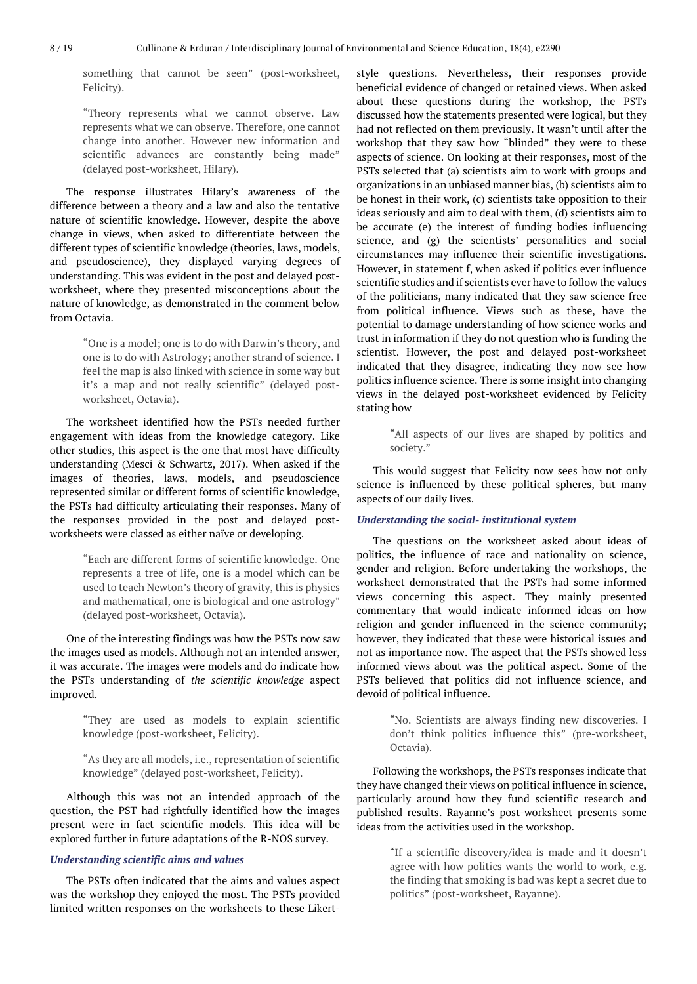something that cannot be seen" (post-worksheet, Felicity).

"Theory represents what we cannot observe. Law represents what we can observe. Therefore, one cannot change into another. However new information and scientific advances are constantly being made" (delayed post-worksheet, Hilary).

The response illustrates Hilary's awareness of the difference between a theory and a law and also the tentative nature of scientific knowledge. However, despite the above change in views, when asked to differentiate between the different types of scientific knowledge (theories, laws, models, and pseudoscience), they displayed varying degrees of understanding. This was evident in the post and delayed postworksheet, where they presented misconceptions about the nature of knowledge, as demonstrated in the comment below from Octavia.

> "One is a model; one is to do with Darwin's theory, and one is to do with Astrology; another strand of science. I feel the map is also linked with science in some way but it's a map and not really scientific" (delayed postworksheet, Octavia).

The worksheet identified how the PSTs needed further engagement with ideas from the knowledge category. Like other studies, this aspect is the one that most have difficulty understanding (Mesci & Schwartz, 2017). When asked if the images of theories, laws, models, and pseudoscience represented similar or different forms of scientific knowledge, the PSTs had difficulty articulating their responses. Many of the responses provided in the post and delayed postworksheets were classed as either naïve or developing.

> "Each are different forms of scientific knowledge. One represents a tree of life, one is a model which can be used to teach Newton's theory of gravity, this is physics and mathematical, one is biological and one astrology" (delayed post-worksheet, Octavia).

One of the interesting findings was how the PSTs now saw the images used as models. Although not an intended answer, it was accurate. The images were models and do indicate how the PSTs understanding of *the scientific knowledge* aspect improved.

> "They are used as models to explain scientific knowledge (post-worksheet, Felicity).

> "As they are all models, i.e., representation of scientific knowledge" (delayed post-worksheet, Felicity).

Although this was not an intended approach of the question, the PST had rightfully identified how the images present were in fact scientific models. This idea will be explored further in future adaptations of the R-NOS survey.

#### *Understanding scientific aims and values*

The PSTs often indicated that the aims and values aspect was the workshop they enjoyed the most. The PSTs provided limited written responses on the worksheets to these Likertstyle questions. Nevertheless, their responses provide beneficial evidence of changed or retained views. When asked about these questions during the workshop, the PSTs discussed how the statements presented were logical, but they had not reflected on them previously. It wasn't until after the workshop that they saw how "blinded" they were to these aspects of science. On looking at their responses, most of the PSTs selected that (a) scientists aim to work with groups and organizations in an unbiased manner bias, (b) scientists aim to be honest in their work, (c) scientists take opposition to their ideas seriously and aim to deal with them, (d) scientists aim to be accurate (e) the interest of funding bodies influencing science, and (g) the scientists' personalities and social circumstances may influence their scientific investigations. However, in statement f, when asked if politics ever influence scientific studies and if scientists ever have to follow the values of the politicians, many indicated that they saw science free from political influence. Views such as these, have the potential to damage understanding of how science works and trust in information if they do not question who is funding the scientist. However, the post and delayed post-worksheet indicated that they disagree, indicating they now see how politics influence science. There is some insight into changing views in the delayed post-worksheet evidenced by Felicity stating how

> "All aspects of our lives are shaped by politics and society."

This would suggest that Felicity now sees how not only science is influenced by these political spheres, but many aspects of our daily lives.

#### *Understanding the social- institutional system*

The questions on the worksheet asked about ideas of politics, the influence of race and nationality on science, gender and religion. Before undertaking the workshops, the worksheet demonstrated that the PSTs had some informed views concerning this aspect. They mainly presented commentary that would indicate informed ideas on how religion and gender influenced in the science community; however, they indicated that these were historical issues and not as importance now. The aspect that the PSTs showed less informed views about was the political aspect. Some of the PSTs believed that politics did not influence science, and devoid of political influence.

> "No. Scientists are always finding new discoveries. I don't think politics influence this" (pre-worksheet, Octavia).

Following the workshops, the PSTs responses indicate that they have changed their views on political influence in science, particularly around how they fund scientific research and published results. Rayanne's post-worksheet presents some ideas from the activities used in the workshop.

> "If a scientific discovery/idea is made and it doesn't agree with how politics wants the world to work, e.g. the finding that smoking is bad was kept a secret due to politics" (post-worksheet, Rayanne).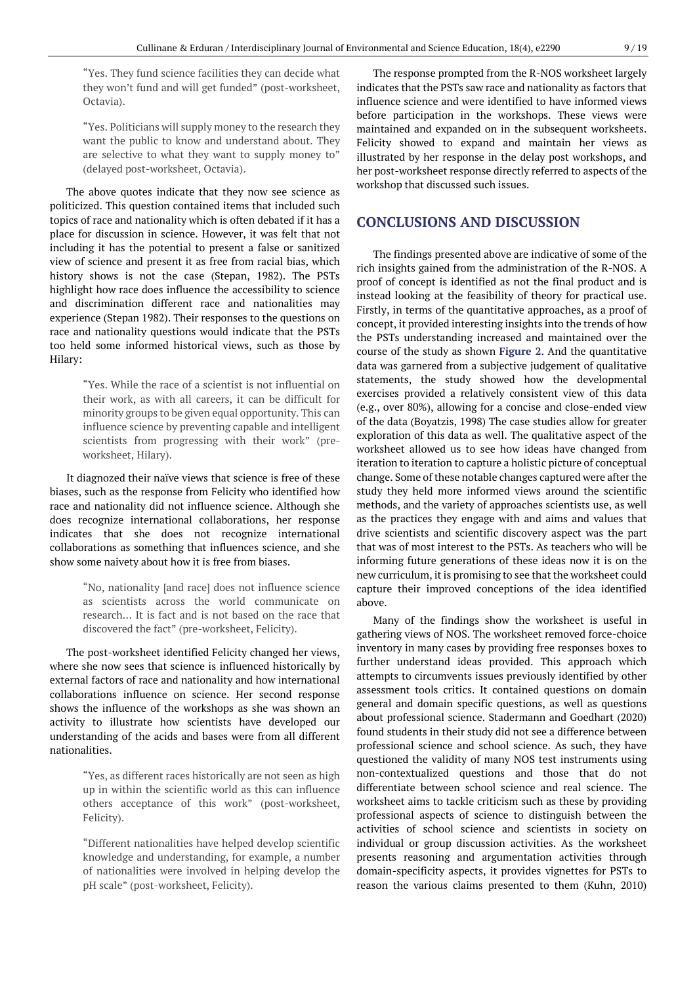"Yes. They fund science facilities they can decide what they won't fund and will get funded" (post-worksheet, Octavia).

"Yes. Politicians will supply money to the research they want the public to know and understand about. They are selective to what they want to supply money to" (delayed post-worksheet, Octavia).

The above quotes indicate that they now see science as politicized. This question contained items that included such topics of race and nationality which is often debated if it has a place for discussion in science. However, it was felt that not including it has the potential to present a false or sanitized view of science and present it as free from racial bias, which history shows is not the case (Stepan, 1982). The PSTs highlight how race does influence the accessibility to science and discrimination different race and nationalities may experience (Stepan 1982). Their responses to the questions on race and nationality questions would indicate that the PSTs too held some informed historical views, such as those by Hilary:

> "Yes. While the race of a scientist is not influential on their work, as with all careers, it can be difficult for minority groups to be given equal opportunity. This can influence science by preventing capable and intelligent scientists from progressing with their work" (preworksheet, Hilary).

It diagnozed their naïve views that science is free of these biases, such as the response from Felicity who identified how race and nationality did not influence science. Although she does recognize international collaborations, her response indicates that she does not recognize international collaborations as something that influences science, and she show some naivety about how it is free from biases.

> "No, nationality [and race] does not influence science as scientists across the world communicate on research… It is fact and is not based on the race that discovered the fact" (pre-worksheet, Felicity).

The post-worksheet identified Felicity changed her views, where she now sees that science is influenced historically by external factors of race and nationality and how international collaborations influence on science. Her second response shows the influence of the workshops as she was shown an activity to illustrate how scientists have developed our understanding of the acids and bases were from all different nationalities.

> "Yes, as different races historically are not seen as high up in within the scientific world as this can influence others acceptance of this work" (post-worksheet, Felicity).

> "Different nationalities have helped develop scientific knowledge and understanding, for example, a number of nationalities were involved in helping develop the pH scale" (post-worksheet, Felicity).

The response prompted from the R-NOS worksheet largely indicates that the PSTs saw race and nationality as factors that influence science and were identified to have informed views before participation in the workshops. These views were maintained and expanded on in the subsequent worksheets. Felicity showed to expand and maintain her views as illustrated by her response in the delay post workshops, and her post-worksheet response directly referred to aspects of the workshop that discussed such issues.

### **CONCLUSIONS AND DISCUSSION**

The findings presented above are indicative of some of the rich insights gained from the administration of the R-NOS. A proof of concept is identified as not the final product and is instead looking at the feasibility of theory for practical use. Firstly, in terms of the quantitative approaches, as a proof of concept, it provided interesting insights into the trends of how the PSTs understanding increased and maintained over the course of the study as shown **Figure 2**. And the quantitative data was garnered from a subjective judgement of qualitative statements, the study showed how the developmental exercises provided a relatively consistent view of this data (e.g., over 80%), allowing for a concise and close-ended view of the data (Boyatzis, 1998) The case studies allow for greater exploration of this data as well. The qualitative aspect of the worksheet allowed us to see how ideas have changed from iteration to iteration to capture a holistic picture of conceptual change. Some of these notable changes captured were after the study they held more informed views around the scientific methods, and the variety of approaches scientists use, as well as the practices they engage with and aims and values that drive scientists and scientific discovery aspect was the part that was of most interest to the PSTs. As teachers who will be informing future generations of these ideas now it is on the new curriculum, it is promising to see that the worksheet could capture their improved conceptions of the idea identified above.

Many of the findings show the worksheet is useful in gathering views of NOS. The worksheet removed force-choice inventory in many cases by providing free responses boxes to further understand ideas provided. This approach which attempts to circumvents issues previously identified by other assessment tools critics. It contained questions on domain general and domain specific questions, as well as questions about professional science. Stadermann and Goedhart (2020) found students in their study did not see a difference between professional science and school science. As such, they have questioned the validity of many NOS test instruments using non-contextualized questions and those that do not differentiate between school science and real science. The worksheet aims to tackle criticism such as these by providing professional aspects of science to distinguish between the activities of school science and scientists in society on individual or group discussion activities. As the worksheet presents reasoning and argumentation activities through domain-specificity aspects, it provides vignettes for PSTs to reason the various claims presented to them (Kuhn, 2010)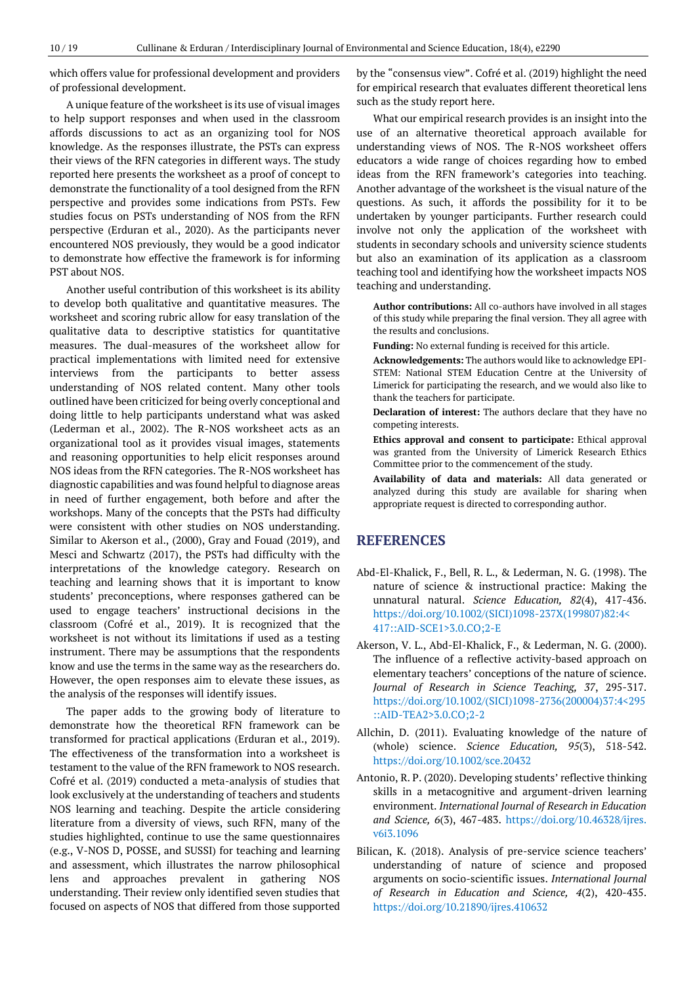which offers value for professional development and providers of professional development.

A unique feature of the worksheet is its use of visual images to help support responses and when used in the classroom affords discussions to act as an organizing tool for NOS knowledge. As the responses illustrate, the PSTs can express their views of the RFN categories in different ways. The study reported here presents the worksheet as a proof of concept to demonstrate the functionality of a tool designed from the RFN perspective and provides some indications from PSTs. Few studies focus on PSTs understanding of NOS from the RFN perspective (Erduran et al., 2020). As the participants never encountered NOS previously, they would be a good indicator to demonstrate how effective the framework is for informing PST about NOS.

Another useful contribution of this worksheet is its ability to develop both qualitative and quantitative measures. The worksheet and scoring rubric allow for easy translation of the qualitative data to descriptive statistics for quantitative measures. The dual-measures of the worksheet allow for practical implementations with limited need for extensive interviews from the participants to better assess understanding of NOS related content. Many other tools outlined have been criticized for being overly conceptional and doing little to help participants understand what was asked (Lederman et al., 2002). The R-NOS worksheet acts as an organizational tool as it provides visual images, statements and reasoning opportunities to help elicit responses around NOS ideas from the RFN categories. The R-NOS worksheet has diagnostic capabilities and was found helpful to diagnose areas in need of further engagement, both before and after the workshops. Many of the concepts that the PSTs had difficulty were consistent with other studies on NOS understanding. Similar to Akerson et al., (2000), Gray and Fouad (2019), and Mesci and Schwartz (2017), the PSTs had difficulty with the interpretations of the knowledge category. Research on teaching and learning shows that it is important to know students' preconceptions, where responses gathered can be used to engage teachers' instructional decisions in the classroom (Cofré et al., 2019). It is recognized that the worksheet is not without its limitations if used as a testing instrument. There may be assumptions that the respondents know and use the terms in the same way as the researchers do. However, the open responses aim to elevate these issues, as the analysis of the responses will identify issues.

The paper adds to the growing body of literature to demonstrate how the theoretical RFN framework can be transformed for practical applications (Erduran et al., 2019). The effectiveness of the transformation into a worksheet is testament to the value of the RFN framework to NOS research. Cofré et al. (2019) conducted a meta-analysis of studies that look exclusively at the understanding of teachers and students NOS learning and teaching. Despite the article considering literature from a diversity of views, such RFN, many of the studies highlighted, continue to use the same questionnaires (e.g., V-NOS D, POSSE, and SUSSI) for teaching and learning and assessment, which illustrates the narrow philosophical lens and approaches prevalent in gathering NOS understanding. Their review only identified seven studies that focused on aspects of NOS that differed from those supported

by the "consensus view". Cofré et al. (2019) highlight the need for empirical research that evaluates different theoretical lens such as the study report here.

What our empirical research provides is an insight into the use of an alternative theoretical approach available for understanding views of NOS. The R-NOS worksheet offers educators a wide range of choices regarding how to embed ideas from the RFN framework's categories into teaching. Another advantage of the worksheet is the visual nature of the questions. As such, it affords the possibility for it to be undertaken by younger participants. Further research could involve not only the application of the worksheet with students in secondary schools and university science students but also an examination of its application as a classroom teaching tool and identifying how the worksheet impacts NOS teaching and understanding.

**Author contributions:** All co-authors have involved in all stages of this study while preparing the final version. They all agree with the results and conclusions.

**Funding:** No external funding is received for this article.

**Acknowledgements:** The authors would like to acknowledge EPI-STEM: National STEM Education Centre at the University of Limerick for participating the research, and we would also like to thank the teachers for participate.

**Declaration of interest:** The authors declare that they have no competing interests.

**Ethics approval and consent to participate:** Ethical approval was granted from the University of Limerick Research Ethics Committee prior to the commencement of the study.

**Availability of data and materials:** All data generated or analyzed during this study are available for sharing when appropriate request is directed to corresponding author.

#### **REFERENCES**

- Abd-El-Khalick, F., Bell, R. L., & Lederman, N. G. (1998). The nature of science & instructional practice: Making the unnatural natural. *Science Education, 82*(4), 417-436. [https://doi.org/10.1002/\(SICI\)1098-237X\(199807\)82:4<](https://doi.org/10.1002/(SICI)1098-237X(199807)82:4%3c417::AID-SCE1%3e3.0.CO;2-E) [417::AID-SCE1>3.0.CO;2-E](https://doi.org/10.1002/(SICI)1098-237X(199807)82:4%3c417::AID-SCE1%3e3.0.CO;2-E)
- Akerson, V. L., Abd-El-Khalick, F., & Lederman, N. G. (2000). The influence of a reflective activity-based approach on elementary teachers' conceptions of the nature of science. *Journal of Research in Science Teaching, 37*, 295-317. [https://doi.org/10.1002/\(SICI\)1098-2736\(200004\)37:4<295](https://doi.org/10.1002/(SICI)1098-2736(200004)37:4%3c295::AID-TEA2%3e3.0.CO;2-2) [::AID-TEA2>3.0.CO;2-2](https://doi.org/10.1002/(SICI)1098-2736(200004)37:4%3c295::AID-TEA2%3e3.0.CO;2-2)
- Allchin, D. (2011). Evaluating knowledge of the nature of (whole) science. *Science Education, 95*(3), 518-542. <https://doi.org/10.1002/sce.20432>
- Antonio, R. P. (2020). Developing students' reflective thinking skills in a metacognitive and argument-driven learning environment. *International Journal of Research in Education and Science, 6*(3), 467-483. [https://doi.org/10.46328/ijres.](https://doi.org/10.46328/ijres.v6i3.1096) [v6i3.1096](https://doi.org/10.46328/ijres.v6i3.1096)
- Bilican, K. (2018). Analysis of pre-service science teachers' understanding of nature of science and proposed arguments on socio-scientific issues. *International Journal of Research in Education and Science, 4*(2), 420-435. <https://doi.org/10.21890/ijres.410632>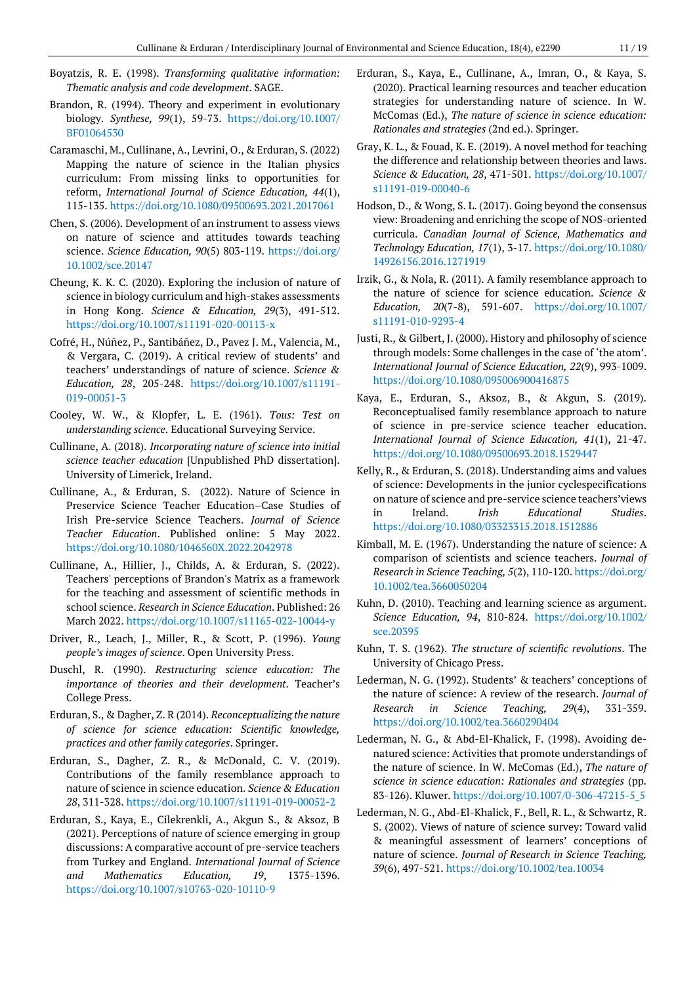- Boyatzis, R. E. (1998). *Transforming qualitative information: Thematic analysis and code development*. SAGE.
- Brandon, R. (1994). Theory and experiment in evolutionary biology. *Synthese, 99*(1), 59-73. [https://doi.org/10.1007/](https://doi.org/10.1007/BF01064530) [BF01064530](https://doi.org/10.1007/BF01064530)
- Caramaschi, M., Cullinane, A., Levrini, O., & Erduran, S. (2022) Mapping the nature of science in the Italian physics curriculum: From missing links to opportunities for reform, *International Journal of Science Education, 44*(1), 115-135.<https://doi.org/10.1080/09500693.2021.2017061>
- Chen, S. (2006). Development of an instrument to assess views on nature of science and attitudes towards teaching science. *Science Education, 90*(5) 803-119. [https://doi.org/](https://doi.org/10.1002/sce.20147) [10.1002/sce.20147](https://doi.org/10.1002/sce.20147)
- Cheung, K. K. C. (2020). Exploring the inclusion of nature of science in biology curriculum and high-stakes assessments in Hong Kong. *Science & Education, 29*(3), 491-512. <https://doi.org/10.1007/s11191-020-00113-x>
- Cofré, H., Núñez, P., Santibáñez, D., Pavez J. M., Valencia, M., & Vergara, C. (2019). A critical review of students' and teachers' understandings of nature of science. *Science & Education, 28*, 205-248. [https://doi.org/10.1007/s11191-](https://doi.org/10.1007/s11191-019-00051-3) [019-00051-3](https://doi.org/10.1007/s11191-019-00051-3)
- Cooley, W. W., & Klopfer, L. E. (1961). *Tous: Test on understanding science*. Educational Surveying Service.
- Cullinane, A. (2018). *Incorporating nature of science into initial science teacher education* [Unpublished PhD dissertation]. University of Limerick, Ireland.
- Cullinane, A., & Erduran, S. (2022). Nature of Science in Preservice Science Teacher Education–Case Studies of Irish Pre-service Science Teachers. *Journal of Science Teacher Education*. Published online: 5 May 2022. <https://doi.org/10.1080/1046560X.2022.2042978>
- Cullinane, A., Hillier, J., Childs, A. & Erduran, S. (2022). Teachers' perceptions of Brandon's Matrix as a framework for the teaching and assessment of scientific methods in school science. *Research in Science Education*. Published: 26 March 2022. <https://doi.org/10.1007/s11165-022-10044-y>
- Driver, R., Leach, J., Miller, R., & Scott, P. (1996). *Young people's images of science*. Open University Press.
- Duschl, R. (1990). *Restructuring science education: The importance of theories and their development*. Teacher's College Press.
- Erduran, S., & Dagher, Z. R (2014). *Reconceptualizing the nature of science for science education: Scientific knowledge, practices and other family categories*. Springer.
- Erduran, S., Dagher, Z. R., & McDonald, C. V. (2019). Contributions of the family resemblance approach to nature of science in science education. *Science & Education 28*, 311-328.<https://doi.org/10.1007/s11191-019-00052-2>
- Erduran, S., Kaya, E., Cilekrenkli, A., Akgun S., & Aksoz, B (2021). Perceptions of nature of science emerging in group discussions: A comparative account of pre-service teachers from Turkey and England. *International Journal of Science and Mathematics Education, 19*, 1375-1396. <https://doi.org/10.1007/s10763-020-10110-9>
- Erduran, S., Kaya, E., Cullinane, A., Imran, O., & Kaya, S. (2020). Practical learning resources and teacher education strategies for understanding nature of science. In W. McComas (Ed.), *The nature of science in science education: Rationales and strategies* (2nd ed.). Springer.
- Gray, K. L., & Fouad, K. E. (2019). A novel method for teaching the difference and relationship between theories and laws. *Science & Education, 28*, 471-501. [https://doi.org/10.1007/](https://doi.org/10.1007/s11191-019-00040-6) [s11191-019-00040-6](https://doi.org/10.1007/s11191-019-00040-6)
- Hodson, D., & Wong, S. L. (2017). Going beyond the consensus view: Broadening and enriching the scope of NOS-oriented curricula. *Canadian Journal of Science, Mathematics and Technology Education, 17*(1), 3-17. [https://doi.org/10.1080/](https://doi.org/10.1080/14926156.2016.1271919) [14926156.2016.1271919](https://doi.org/10.1080/14926156.2016.1271919)
- Irzik, G., & Nola, R. (2011). A family resemblance approach to the nature of science for science education. *Science & Education, 20*(7-8), 591-607. [https://doi.org/10.1007/](https://doi.org/10.1007/s11191-010-9293-4) [s11191-010-9293-4](https://doi.org/10.1007/s11191-010-9293-4)
- Justi, R., & Gilbert, J. (2000). History and philosophy of science through models: Some challenges in the case of 'the atom'. *International Journal of Science Education, 22*(9), 993-1009. <https://doi.org/10.1080/095006900416875>
- Kaya, E., Erduran, S., Aksoz, B., & Akgun, S. (2019). Reconceptualised family resemblance approach to nature of science in pre-service science teacher education. *International Journal of Science Education, 41*(1), 21-47. <https://doi.org/10.1080/09500693.2018.1529447>
- Kelly, R., & Erduran, S. (2018). Understanding aims and values of science: Developments in the junior cyclespecifications on nature of science and pre-service science teachers'views in Ireland. *Irish Educational Studies*. <https://doi.org/10.1080/03323315.2018.1512886>
- Kimball, M. E. (1967). Understanding the nature of science: A comparison of scientists and science teachers. *Journal of Research in Science Teaching, 5*(2), 110-120. [https://doi.org/](https://doi.org/10.1002/tea.3660050204) [10.1002/tea.3660050204](https://doi.org/10.1002/tea.3660050204)
- Kuhn, D. (2010). Teaching and learning science as argument. *Science Education, 94*, 810-824. [https://doi.org/10.1002/](https://doi.org/10.1002/sce.20395) [sce.20395](https://doi.org/10.1002/sce.20395)
- Kuhn, T. S. (1962). *The structure of scientific revolutions*. The University of Chicago Press.
- Lederman, N. G. (1992). Students' & teachers' conceptions of the nature of science: A review of the research. *Journal of Research in Science Teaching, 29*(4), 331-359. <https://doi.org/10.1002/tea.3660290404>
- Lederman, N. G., & Abd-El-Khalick, F. (1998). Avoiding denatured science: Activities that promote understandings of the nature of science. In W. McComas (Ed.), *The nature of science in science education: Rationales and strategies* (pp. 83-126). Kluwer. [https://doi.org/10.1007/0-306-47215-5\\_5](https://doi.org/10.1007/0-306-47215-5_5)
- Lederman, N. G., Abd-El-Khalick, F., Bell, R. L., & Schwartz, R. S. (2002). Views of nature of science survey: Toward valid & meaningful assessment of learners' conceptions of nature of science. *Journal of Research in Science Teaching, 39*(6), 497-521. <https://doi.org/10.1002/tea.10034>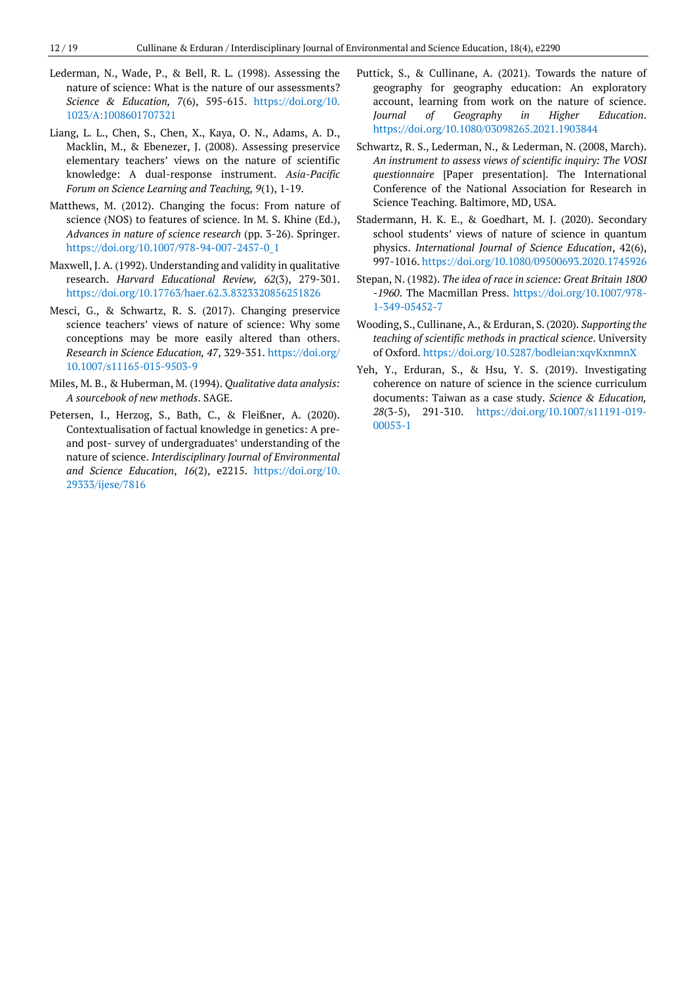- Lederman, N., Wade, P., & Bell, R. L. (1998). Assessing the nature of science: What is the nature of our assessments? *Science & Education, 7*(6), 595-615. [https://doi.org/10.](https://doi.org/10.1023/A:1008601707321) [1023/A:1008601707321](https://doi.org/10.1023/A:1008601707321)
- Liang, L. L., Chen, S., Chen, X., Kaya, O. N., Adams, A. D., Macklin, M., & Ebenezer, J. (2008). Assessing preservice elementary teachers' views on the nature of scientific knowledge: A dual-response instrument. *Asia-Pacific Forum on Science Learning and Teaching, 9*(1), 1-19.
- Matthews, M. (2012). Changing the focus: From nature of science (NOS) to features of science. In M. S. Khine (Ed.), *Advances in nature of science research* (pp. 3-26). Springer. [https://doi.org/10.1007/978-94-007-2457-0\\_1](https://doi.org/10.1007/978-94-007-2457-0_1)
- Maxwell, J. A. (1992). Understanding and validity in qualitative research. *Harvard Educational Review, 62*(3), 279-301. <https://doi.org/10.17763/haer.62.3.8323320856251826>
- Mesci, G., & Schwartz, R. S. (2017). Changing preservice science teachers' views of nature of science: Why some conceptions may be more easily altered than others. *Research in Science Education, 47*, 329-351. [https://doi.org/](https://doi.org/10.1007/s11165-015-9503-9) [10.1007/s11165-015-9503-9](https://doi.org/10.1007/s11165-015-9503-9)
- Miles, M. B., & Huberman, M. (1994). *Qualitative data analysis: A sourcebook of new methods*. SAGE.
- Petersen, I., Herzog, S., Bath, C., & Fleißner, A. (2020). Contextualisation of factual knowledge in genetics: A preand post- survey of undergraduates' understanding of the nature of science. *Interdisciplinary Journal of Environmental and Science Education*, *16*(2), e2215. [https://doi.org/10.](https://doi.org/10.29333/ijese/7816) [29333/ijese/7816](https://doi.org/10.29333/ijese/7816)
- Puttick, S., & Cullinane, A. (2021). Towards the nature of geography for geography education: An exploratory account, learning from work on the nature of science. *Journal of Geography in Higher Education*. <https://doi.org/10.1080/03098265.2021.1903844>
- Schwartz, R. S., Lederman, N., & Lederman, N. (2008, March). *An instrument to assess views of scientific inquiry: The VOSI questionnaire* [Paper presentation]. The International Conference of the National Association for Research in Science Teaching. Baltimore, MD, USA.
- Stadermann, H. K. E., & Goedhart, M. J. (2020). Secondary school students' views of nature of science in quantum physics. *International Journal of Science Education*, 42(6), 997-1016.<https://doi.org/10.1080/09500693.2020.1745926>
- Stepan, N. (1982). *The idea of race in science: Great Britain 1800 -1960*. The Macmillan Press. [https://doi.org/10.1007/978-](https://doi.org/10.1007/978-1-349-05452-7) [1-349-05452-7](https://doi.org/10.1007/978-1-349-05452-7)
- Wooding, S., Cullinane, A., & Erduran, S. (2020). *Supporting the teaching of scientific methods in practical science*. University of Oxford.<https://doi.org/10.5287/bodleian:xqvKxnmnX>
- Yeh, Y., Erduran, S., & Hsu, Y. S. (2019). Investigating coherence on nature of science in the science curriculum documents: Taiwan as a case study. *Science & Education, 28*(3-5), 291-310. [https://doi.org/10.1007/s11191-019-](https://doi.org/10.1007/s11191-019-00053-1) [00053-1](https://doi.org/10.1007/s11191-019-00053-1)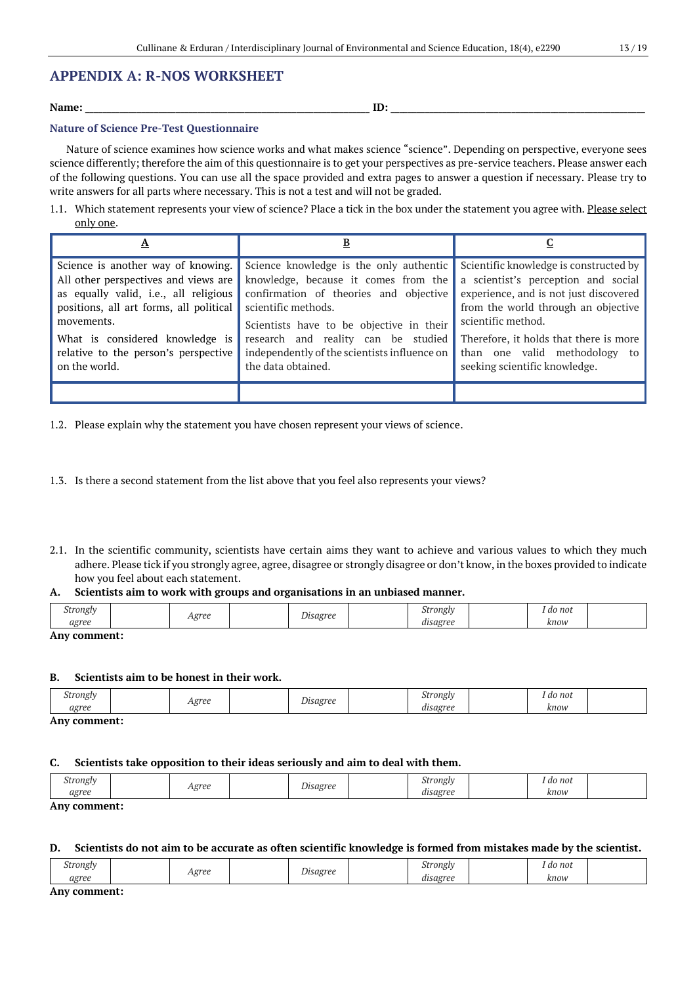### **APPENDIX A: R-NOS WORKSHEET**

#### **Name:** \_\_\_\_\_\_\_\_\_\_\_\_\_\_\_\_\_\_\_\_\_\_\_\_\_\_\_\_\_\_\_\_\_\_\_\_\_\_\_\_\_\_\_\_\_\_\_\_\_\_\_\_\_\_\_\_\_\_\_\_\_\_\_\_\_\_ **ID:** \_\_\_\_\_\_\_\_\_\_\_\_\_\_\_\_\_\_\_\_\_\_\_\_\_\_\_\_\_\_\_\_\_\_\_\_\_\_\_\_\_\_\_\_\_\_\_\_\_\_\_\_\_\_\_\_\_\_\_

#### **Nature of Science Pre-Test Questionnaire**

Nature of science examines how science works and what makes science "science". Depending on perspective, everyone sees science differently; therefore the aim of this questionnaire is to get your perspectives as pre-service teachers. Please answer each of the following questions. You can use all the space provided and extra pages to answer a question if necessary. Please try to write answers for all parts where necessary. This is not a test and will not be graded.

1.1. Which statement represents your view of science? Place a tick in the box under the statement you agree with. Please select only one.

| Science is another way of knowing.<br>All other perspectives and views are<br>as equally valid, i.e., all religious<br>positions, all art forms, all political<br>movements.<br>What is considered knowledge is<br>relative to the person's perspective<br>on the world. | Science knowledge is the only authentic<br>knowledge, because it comes from the<br>confirmation of theories and objective<br>scientific methods.<br>Scientists have to be objective in their<br>research and reality can be studied<br>independently of the scientists influence on<br>the data obtained. | Scientific knowledge is constructed by<br>a scientist's perception and social<br>experience, and is not just discovered<br>from the world through an objective<br>scientific method.<br>Therefore, it holds that there is more<br>than one valid methodology to<br>seeking scientific knowledge. |
|--------------------------------------------------------------------------------------------------------------------------------------------------------------------------------------------------------------------------------------------------------------------------|-----------------------------------------------------------------------------------------------------------------------------------------------------------------------------------------------------------------------------------------------------------------------------------------------------------|--------------------------------------------------------------------------------------------------------------------------------------------------------------------------------------------------------------------------------------------------------------------------------------------------|
|                                                                                                                                                                                                                                                                          |                                                                                                                                                                                                                                                                                                           |                                                                                                                                                                                                                                                                                                  |

1.2. Please explain why the statement you have chosen represent your views of science.

- 1.3. Is there a second statement from the list above that you feel also represents your views?
- 2.1. In the scientific community, scientists have certain aims they want to achieve and various values to which they much adhere. Please tick if you strongly agree, agree, disagree or strongly disagree or don't know, in the boxes provided to indicate how you feel about each statement.

#### **A. Scientists aim to work with groups and organisations in an unbiased manner.**

| stronglv<br>ຼ | .orpo   | $\sim$<br>Iisagree | trongh<br>υı                    | do not |  |
|---------------|---------|--------------------|---------------------------------|--------|--|
| agree         | ັ<br>** |                    | . .<br>licaoree<br>$\mathbf{L}$ | know   |  |

#### **Any comment:**

#### **B. Scientists aim to be honest in their work.**

| agroo<br>orog<br>$\check{ }$                    | <i>rongly</i><br>$\check{ }$ | ' do not<br>. |  |
|-------------------------------------------------|------------------------------|---------------|--|
| . .<br><i>aorpp</i><br>arron.<br>us<br>$\cdots$ |                              | кпои          |  |

**Any comment:**

#### **C. Scientists take opposition to their ideas seriously and aim to deal with them.**

| $\sim$ $\sim$ $\sim$<br>stronglv | Agree | - -<br>Jisagree | strongly | do not |  |
|----------------------------------|-------|-----------------|----------|--------|--|
| agree                            |       |                 | disagree | know   |  |
|                                  |       |                 |          |        |  |

**Any comment:**

#### **D. Scientists do not aim to be accurate as often scientific knowledge is formed from mistakes made by the scientist.**

| <b>.</b><br>strongly<br>ັ | <b>orgo</b> | Isagree | stronglv<br>. | do not<br>$-$ |  |
|---------------------------|-------------|---------|---------------|---------------|--|
| noroo<br>$4.51$ cc        | ື້<br>. .   | ຼ       | "equarpo"     | know          |  |

**Any comment:**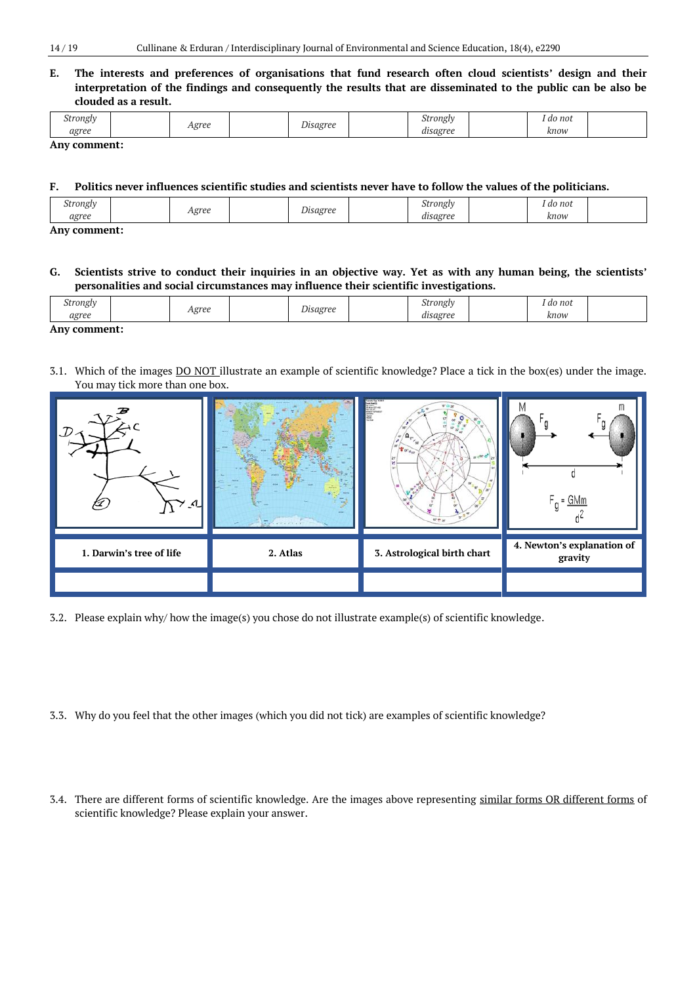**E. The interests and preferences of organisations that fund research often cloud scientists' design and their interpretation of the findings and consequently the results that are disseminated to the public can be also be clouded as a result.**

| strongly<br>ັ    | oroo   | $\overline{\phantom{a}}$<br>Disagree | <i>trongly</i><br>، 11. | do not |  |
|------------------|--------|--------------------------------------|-------------------------|--------|--|
| norpp<br>us<br>. | $-551$ |                                      | disagree<br>. .         | know   |  |

#### **Any comment:**

### **F. Politics never influences scientific studies and scientists never have to follow the values of the politicians.**

| erongly to the control.<br>$\tilde{\phantom{a}}$ | oroi<br> | $\overline{\phantom{a}}$<br>sagree | $\sim$<br>*rongly<br>$\overline{\phantom{0}}$ | do not<br>. |  |
|--------------------------------------------------|----------|------------------------------------|-----------------------------------------------|-------------|--|
| noree<br>$\sim$                                  | ັ        |                                    |                                               | know        |  |
|                                                  |          |                                    |                                               |             |  |

**Any comment:**

#### **G. Scientists strive to conduct their inquiries in an objective way. Yet as with any human being, the scientists' personalities and social circumstances may influence their scientific investigations.**

| itronglv<br>، با ت | <b>orpo</b>  | sagree   | itronglv<br>ີ                | ' do not<br>. |  |
|--------------------|--------------|----------|------------------------------|---------------|--|
| agree              | . اخترا<br>. | - -<br>ຼ | $\cdot$ .<br>norpp<br>0.6317 | know          |  |

## **Any comment:**

3.1. Which of the images DO NOT illustrate an example of scientific knowledge? Place a tick in the box(es) under the image. You may tick more than one box.

| J)<br>$\Lambda$          |          | H<br>$\mathbf{a}_{\cdot \cdot \cdot}$<br>w<br><b>VOUT AT A</b><br>28.007 <sub>0</sub><br>$16''$ T at | m<br>= GMn                            |
|--------------------------|----------|------------------------------------------------------------------------------------------------------|---------------------------------------|
| 1. Darwin's tree of life | 2. Atlas | 3. Astrological birth chart                                                                          | 4. Newton's explanation of<br>gravity |
|                          |          |                                                                                                      |                                       |

- 3.2. Please explain why/ how the image(s) you chose do not illustrate example(s) of scientific knowledge.
- 3.3. Why do you feel that the other images (which you did not tick) are examples of scientific knowledge?
- 3.4. There are different forms of scientific knowledge. Are the images above representing similar forms OR different forms of scientific knowledge? Please explain your answer.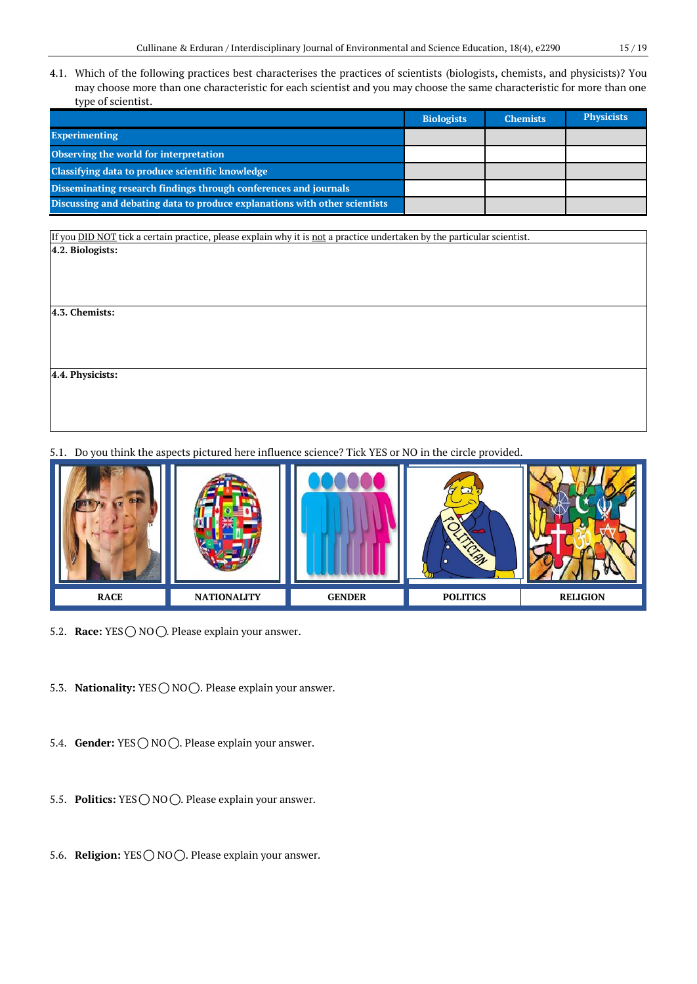4.1. Which of the following practices best characterises the practices of scientists (biologists, chemists, and physicists)? You may choose more than one characteristic for each scientist and you may choose the same characteristic for more than one type of scientist.

|                                                                            | <b>Biologists</b> | <b>Chemists</b> | <b>Physicists</b> |
|----------------------------------------------------------------------------|-------------------|-----------------|-------------------|
| <b>Experimenting</b>                                                       |                   |                 |                   |
| Observing the world for interpretation                                     |                   |                 |                   |
| Classifying data to produce scientific knowledge                           |                   |                 |                   |
| Disseminating research findings through conferences and journals           |                   |                 |                   |
| Discussing and debating data to produce explanations with other scientists |                   |                 |                   |

If you **DID NOT** tick a certain practice, please explain why it is not a practice undertaken by the particular scientist. **4.2. Biologists:**

**4.3. Chemists:**

**4.4. Physicists:**

5.1. Do you think the aspects pictured here influence science? Tick YES or NO in the circle provided.



- 5.2. **Race:** YES  $\bigcirc$  NO  $\bigcirc$ . Please explain your answer.
- 5.3. **Nationality:** YES  $\bigcirc$  NO  $\bigcirc$ . Please explain your answer.
- 5.4. **Gender:** YES ◯ NO ◯. Please explain your answer.
- 5.5. **Politics:** YES  $\bigcirc$  NO  $\bigcirc$ . Please explain your answer.
- 5.6. **Religion:** YES ◯ NO ◯. Please explain your answer.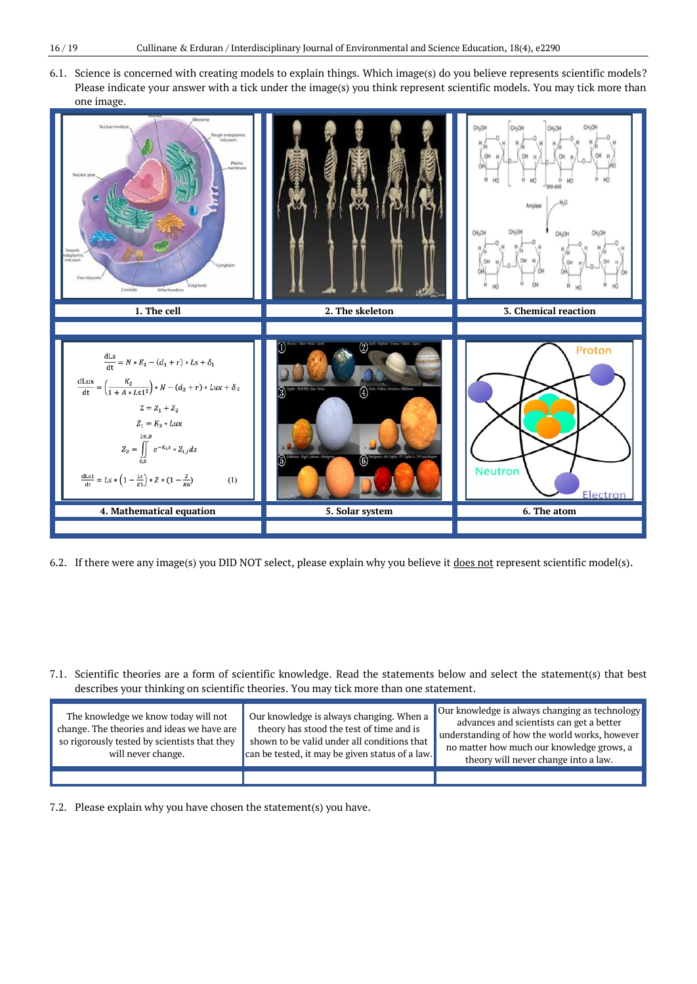6.1. Science is concerned with creating models to explain things. Which image(s) do you believe represents scientific models? Please indicate your answer with a tick under the image(s) you think represent scientific models. You may tick more than one image.



- 6.2. If there were any image(s) you DID NOT select, please explain why you believe it does not represent scientific model(s).
- 7.1. Scientific theories are a form of scientific knowledge. Read the statements below and select the statement(s) that best describes your thinking on scientific theories. You may tick more than one statement.

| The knowledge we know today will not<br>change. The theories and ideas we have are<br>so rigorously tested by scientists that they<br>will never change. | Our knowledge is always changing. When a<br>theory has stood the test of time and is<br>shown to be valid under all conditions that<br>can be tested, it may be given status of a law. | Our knowledge is always changing as technology<br>advances and scientists can get a better<br>understanding of how the world works, however<br>no matter how much our knowledge grows, a<br>theory will never change into a law. |
|----------------------------------------------------------------------------------------------------------------------------------------------------------|----------------------------------------------------------------------------------------------------------------------------------------------------------------------------------------|----------------------------------------------------------------------------------------------------------------------------------------------------------------------------------------------------------------------------------|
|                                                                                                                                                          |                                                                                                                                                                                        |                                                                                                                                                                                                                                  |

7.2. Please explain why you have chosen the statement(s) you have.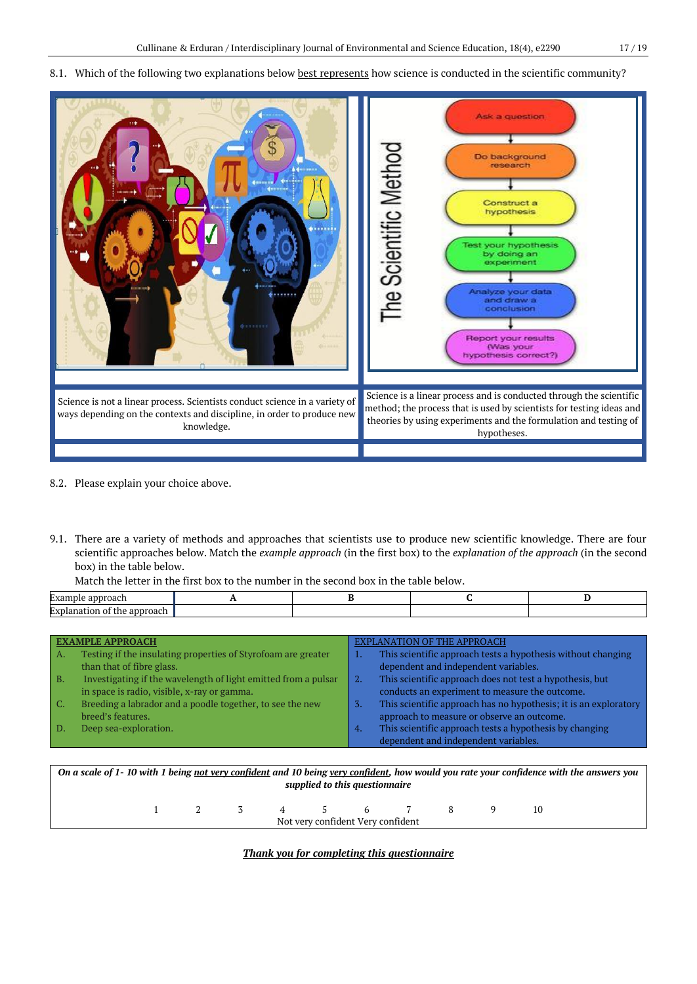#### 8.1. Which of the following two explanations below best represents how science is conducted in the scientific community?



- 8.2. Please explain your choice above.
- 9.1. There are a variety of methods and approaches that scientists use to produce new scientific knowledge. There are four scientific approaches below. Match the *example approach* (in the first box) to the *explanation of the approach* (in the second box) in the table below.

|  | Match the letter in the first box to the number in the second box in the table below. |  |  |  |
|--|---------------------------------------------------------------------------------------|--|--|--|
|--|---------------------------------------------------------------------------------------|--|--|--|

| approach<br>:xample                     |  |  |
|-----------------------------------------|--|--|
| : approach<br>*xplanation<br>tne<br>-01 |  |  |

| <b>EXAMPLE APPROACH</b>                                              | EXPLANATION OF THE APPROACH                                             |
|----------------------------------------------------------------------|-------------------------------------------------------------------------|
| Testing if the insulating properties of Styrofoam are greater<br>А.  | This scientific approach tests a hypothesis without changing<br>ш.      |
| than that of fibre glass.                                            | dependent and independent variables.                                    |
| Investigating if the wavelength of light emitted from a pulsar<br>B. | This scientific approach does not test a hypothesis, but<br>2.          |
| in space is radio, visible, x-ray or gamma.                          | conducts an experiment to measure the outcome.                          |
| Breeding a labrador and a poodle together, to see the new            | This scientific approach has no hypothesis; it is an exploratory<br>-3. |
| breed's features.                                                    | approach to measure or observe an outcome.                              |
| Deep sea-exploration.                                                | This scientific approach tests a hypothesis by changing<br>4.           |
|                                                                      | dependent and independent variables.                                    |
|                                                                      |                                                                         |

*On a scale of 1- 10 with 1 being not very confident and 10 being very confident, how would you rate your confidence with the answers you supplied to this questionnaire*

| Not very confident Very confident |  |  |  |  |  |  |
|-----------------------------------|--|--|--|--|--|--|
|                                   |  |  |  |  |  |  |

*Thank you for completing this questionnaire*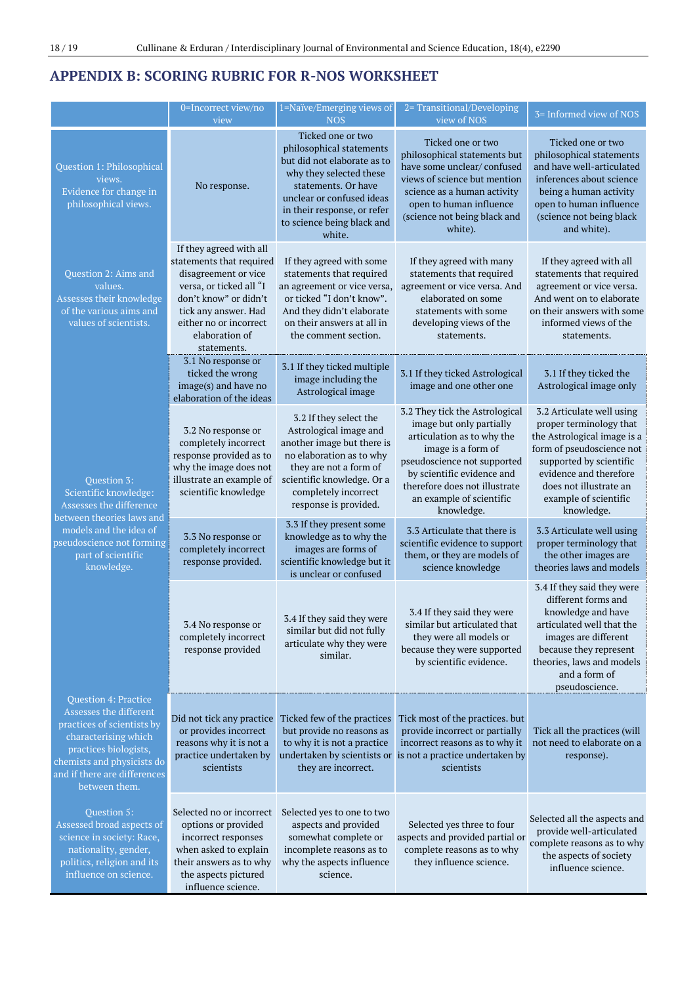# **APPENDIX B: SCORING RUBRIC FOR R-NOS WORKSHEET**

|                                                                                                                                                                                                              | 0=Incorrect view/no<br>view                                                                                                                                                                                        | 1=Naïve/Emerging views of<br><b>NOS</b>                                                                                                                                                                                            | 2= Transitional/Developing<br>view of NOS                                                                                                                                                                                                              | 3= Informed view of NOS                                                                                                                                                                                                                |
|--------------------------------------------------------------------------------------------------------------------------------------------------------------------------------------------------------------|--------------------------------------------------------------------------------------------------------------------------------------------------------------------------------------------------------------------|------------------------------------------------------------------------------------------------------------------------------------------------------------------------------------------------------------------------------------|--------------------------------------------------------------------------------------------------------------------------------------------------------------------------------------------------------------------------------------------------------|----------------------------------------------------------------------------------------------------------------------------------------------------------------------------------------------------------------------------------------|
| Question 1: Philosophical<br>views.<br>Evidence for change in<br>philosophical views.                                                                                                                        | No response.                                                                                                                                                                                                       | Ticked one or two<br>philosophical statements<br>but did not elaborate as to<br>why they selected these<br>statements. Or have<br>unclear or confused ideas<br>in their response, or refer<br>to science being black and<br>white. | Ticked one or two<br>philosophical statements but<br>have some unclear/confused<br>views of science but mention<br>science as a human activity<br>open to human influence<br>(science not being black and<br>white).                                   | Ticked one or two<br>philosophical statements<br>and have well-articulated<br>inferences about science<br>being a human activity<br>open to human influence<br>(science not being black<br>and white).                                 |
| Question 2: Aims and<br>values.<br>Assesses their knowledge<br>of the various aims and<br>values of scientists.                                                                                              | If they agreed with all<br>statements that required<br>disagreement or vice<br>versa, or ticked all "I<br>don't know" or didn't<br>tick any answer. Had<br>either no or incorrect<br>elaboration of<br>statements. | If they agreed with some<br>statements that required<br>an agreement or vice versa,<br>or ticked "I don't know".<br>And they didn't elaborate<br>on their answers at all in<br>the comment section.                                | If they agreed with many<br>statements that required<br>agreement or vice versa. And<br>elaborated on some<br>statements with some<br>developing views of the<br>statements.                                                                           | If they agreed with all<br>statements that required<br>agreement or vice versa.<br>And went on to elaborate<br>on their answers with some<br>informed views of the<br>statements.                                                      |
|                                                                                                                                                                                                              | 3.1 No response or<br>ticked the wrong<br>image(s) and have no<br>elaboration of the ideas                                                                                                                         | 3.1 If they ticked multiple<br>image including the<br>Astrological image                                                                                                                                                           | 3.1 If they ticked Astrological<br>image and one other one                                                                                                                                                                                             | 3.1 If they ticked the<br>Astrological image only                                                                                                                                                                                      |
| <b>Question 3:</b><br>Scientific knowledge:<br>Assesses the difference<br>between theories laws and<br>models and the idea of<br>pseudoscience not forming<br>part of scientific<br>knowledge.               | 3.2 No response or<br>completely incorrect<br>response provided as to<br>why the image does not<br>illustrate an example of<br>scientific knowledge                                                                | 3.2 If they select the<br>Astrological image and<br>another image but there is<br>no elaboration as to why<br>they are not a form of<br>scientific knowledge. Or a<br>completely incorrect<br>response is provided.                | 3.2 They tick the Astrological<br>image but only partially<br>articulation as to why the<br>image is a form of<br>pseudoscience not supported<br>by scientific evidence and<br>therefore does not illustrate<br>an example of scientific<br>knowledge. | 3.2 Articulate well using<br>proper terminology that<br>the Astrological image is a<br>form of pseudoscience not<br>supported by scientific<br>evidence and therefore<br>does not illustrate an<br>example of scientific<br>knowledge. |
|                                                                                                                                                                                                              | 3.3 No response or<br>completely incorrect<br>response provided.                                                                                                                                                   | 3.3 If they present some<br>knowledge as to why the<br>images are forms of<br>scientific knowledge but it<br>is unclear or confused                                                                                                | 3.3 Articulate that there is<br>scientific evidence to support<br>them, or they are models of<br>science knowledge                                                                                                                                     | 3.3 Articulate well using<br>proper terminology that<br>the other images are<br>theories laws and models                                                                                                                               |
|                                                                                                                                                                                                              | 3.4 No response or<br>completely incorrect<br>response provided                                                                                                                                                    | 3.4 If they said they were<br>similar but did not fully<br>articulate why they were<br>similar.                                                                                                                                    | 3.4 If they said they were<br>similar but articulated that<br>they were all models or<br>because they were supported<br>by scientific evidence.                                                                                                        | 3.4 If they said they were<br>different forms and<br>knowledge and have<br>articulated well that the<br>images are different<br>because they represent<br>theories, laws and models<br>and a form of<br>pseudoscience.                 |
| Question 4: Practice<br>Assesses the different<br>practices of scientists by<br>characterising which<br>practices biologists,<br>chemists and physicists do<br>and if there are differences<br>between them. | Did not tick any practice<br>or provides incorrect<br>reasons why it is not a<br>practice undertaken by<br>scientists                                                                                              | Ticked few of the practices<br>but provide no reasons as<br>to why it is not a practice<br>undertaken by scientists or<br>they are incorrect.                                                                                      | Tick most of the practices. but<br>provide incorrect or partially<br>incorrect reasons as to why it<br>is not a practice undertaken by<br>scientists                                                                                                   | Tick all the practices (will<br>not need to elaborate on a<br>response).                                                                                                                                                               |
| Question 5:<br>Assessed broad aspects of<br>science in society: Race,<br>nationality, gender,<br>politics, religion and its<br>influence on science.                                                         | Selected no or incorrect<br>options or provided<br>incorrect responses<br>when asked to explain<br>their answers as to why<br>the aspects pictured<br>influence science.                                           | Selected yes to one to two<br>aspects and provided<br>somewhat complete or<br>incomplete reasons as to<br>why the aspects influence<br>science.                                                                                    | Selected yes three to four<br>aspects and provided partial or<br>complete reasons as to why<br>they influence science.                                                                                                                                 | Selected all the aspects and<br>provide well-articulated<br>complete reasons as to why<br>the aspects of society<br>influence science.                                                                                                 |